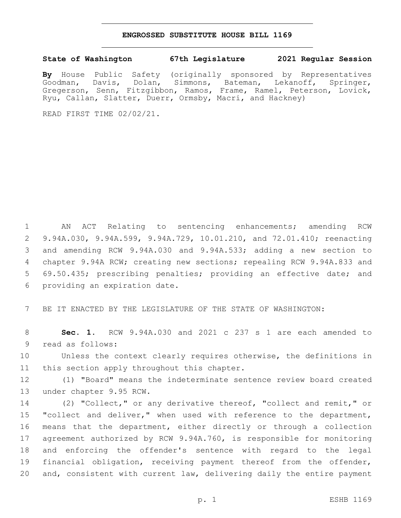## **ENGROSSED SUBSTITUTE HOUSE BILL 1169**

## **State of Washington 67th Legislature 2021 Regular Session**

**By** House Public Safety (originally sponsored by Representatives Goodman, Davis, Dolan, Simmons, Bateman, Lekanoff, Springer, Gregerson, Senn, Fitzgibbon, Ramos, Frame, Ramel, Peterson, Lovick, Ryu, Callan, Slatter, Duerr, Ormsby, Macri, and Hackney)

READ FIRST TIME 02/02/21.

 AN ACT Relating to sentencing enhancements; amending RCW 9.94A.030, 9.94A.599, 9.94A.729, 10.01.210, and 72.01.410; reenacting and amending RCW 9.94A.030 and 9.94A.533; adding a new section to chapter 9.94A RCW; creating new sections; repealing RCW 9.94A.833 and 69.50.435; prescribing penalties; providing an effective date; and 6 providing an expiration date.

7 BE IT ENACTED BY THE LEGISLATURE OF THE STATE OF WASHINGTON:

8 **Sec. 1.** RCW 9.94A.030 and 2021 c 237 s 1 are each amended to 9 read as follows:

10 Unless the context clearly requires otherwise, the definitions in 11 this section apply throughout this chapter.

12 (1) "Board" means the indeterminate sentence review board created 13 under chapter 9.95 RCW.

 (2) "Collect," or any derivative thereof, "collect and remit," or 15 "collect and deliver," when used with reference to the department, means that the department, either directly or through a collection agreement authorized by RCW 9.94A.760, is responsible for monitoring and enforcing the offender's sentence with regard to the legal financial obligation, receiving payment thereof from the offender, and, consistent with current law, delivering daily the entire payment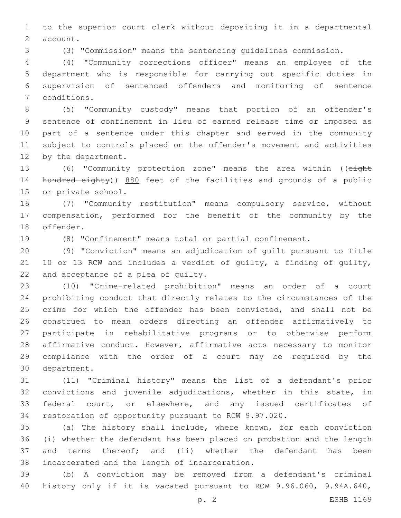to the superior court clerk without depositing it in a departmental 2 account.

(3) "Commission" means the sentencing guidelines commission.

 (4) "Community corrections officer" means an employee of the department who is responsible for carrying out specific duties in supervision of sentenced offenders and monitoring of sentence 7 conditions.

 (5) "Community custody" means that portion of an offender's sentence of confinement in lieu of earned release time or imposed as part of a sentence under this chapter and served in the community subject to controls placed on the offender's movement and activities 12 by the department.

 (6) "Community protection zone" means the area within ((eight 14 hundred eighty)) 880 feet of the facilities and grounds of a public 15 or private school.

 (7) "Community restitution" means compulsory service, without compensation, performed for the benefit of the community by the 18 offender.

(8) "Confinement" means total or partial confinement.

 (9) "Conviction" means an adjudication of guilt pursuant to Title 10 or 13 RCW and includes a verdict of guilty, a finding of guilty, 22 and acceptance of a plea of guilty.

 (10) "Crime-related prohibition" means an order of a court prohibiting conduct that directly relates to the circumstances of the 25 crime for which the offender has been convicted, and shall not be construed to mean orders directing an offender affirmatively to participate in rehabilitative programs or to otherwise perform affirmative conduct. However, affirmative acts necessary to monitor compliance with the order of a court may be required by the 30 department.

 (11) "Criminal history" means the list of a defendant's prior convictions and juvenile adjudications, whether in this state, in federal court, or elsewhere, and any issued certificates of restoration of opportunity pursuant to RCW 9.97.020.

 (a) The history shall include, where known, for each conviction (i) whether the defendant has been placed on probation and the length and terms thereof; and (ii) whether the defendant has been 38 incarcerated and the length of incarceration.

 (b) A conviction may be removed from a defendant's criminal history only if it is vacated pursuant to RCW 9.96.060, 9.94A.640,

p. 2 ESHB 1169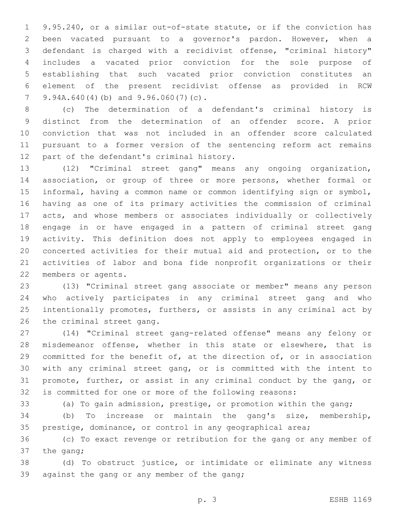9.95.240, or a similar out-of-state statute, or if the conviction has been vacated pursuant to a governor's pardon. However, when a defendant is charged with a recidivist offense, "criminal history" includes a vacated prior conviction for the sole purpose of establishing that such vacated prior conviction constitutes an element of the present recidivist offense as provided in RCW 7 9.94A.640(4)(b) and  $9.96.060(7)(c)$ .

 (c) The determination of a defendant's criminal history is distinct from the determination of an offender score. A prior conviction that was not included in an offender score calculated pursuant to a former version of the sentencing reform act remains 12 part of the defendant's criminal history.

 (12) "Criminal street gang" means any ongoing organization, association, or group of three or more persons, whether formal or informal, having a common name or common identifying sign or symbol, having as one of its primary activities the commission of criminal acts, and whose members or associates individually or collectively engage in or have engaged in a pattern of criminal street gang activity. This definition does not apply to employees engaged in concerted activities for their mutual aid and protection, or to the activities of labor and bona fide nonprofit organizations or their 22 members or agents.

 (13) "Criminal street gang associate or member" means any person who actively participates in any criminal street gang and who intentionally promotes, furthers, or assists in any criminal act by 26 the criminal street gang.

 (14) "Criminal street gang-related offense" means any felony or misdemeanor offense, whether in this state or elsewhere, that is committed for the benefit of, at the direction of, or in association with any criminal street gang, or is committed with the intent to promote, further, or assist in any criminal conduct by the gang, or is committed for one or more of the following reasons:

(a) To gain admission, prestige, or promotion within the gang;

 (b) To increase or maintain the gang's size, membership, prestige, dominance, or control in any geographical area;

 (c) To exact revenge or retribution for the gang or any member of the gang;

 (d) To obstruct justice, or intimidate or eliminate any witness 39 against the gang or any member of the gang;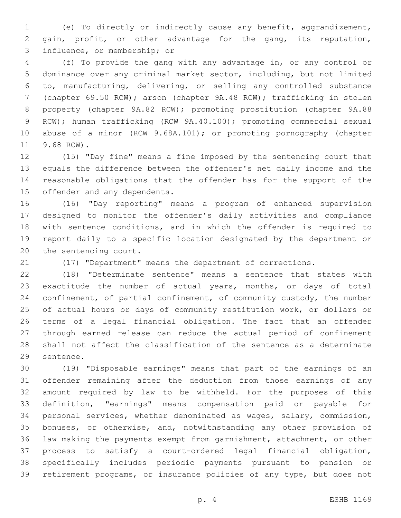(e) To directly or indirectly cause any benefit, aggrandizement, gain, profit, or other advantage for the gang, its reputation, 3 influence, or membership; or

 (f) To provide the gang with any advantage in, or any control or dominance over any criminal market sector, including, but not limited to, manufacturing, delivering, or selling any controlled substance (chapter 69.50 RCW); arson (chapter 9A.48 RCW); trafficking in stolen property (chapter 9A.82 RCW); promoting prostitution (chapter 9A.88 RCW); human trafficking (RCW 9A.40.100); promoting commercial sexual abuse of a minor (RCW 9.68A.101); or promoting pornography (chapter 11 9.68 RCW).

 (15) "Day fine" means a fine imposed by the sentencing court that equals the difference between the offender's net daily income and the reasonable obligations that the offender has for the support of the 15 offender and any dependents.

 (16) "Day reporting" means a program of enhanced supervision designed to monitor the offender's daily activities and compliance with sentence conditions, and in which the offender is required to report daily to a specific location designated by the department or 20 the sentencing court.

(17) "Department" means the department of corrections.

 (18) "Determinate sentence" means a sentence that states with exactitude the number of actual years, months, or days of total confinement, of partial confinement, of community custody, the number of actual hours or days of community restitution work, or dollars or terms of a legal financial obligation. The fact that an offender through earned release can reduce the actual period of confinement shall not affect the classification of the sentence as a determinate 29 sentence.

 (19) "Disposable earnings" means that part of the earnings of an offender remaining after the deduction from those earnings of any amount required by law to be withheld. For the purposes of this definition, "earnings" means compensation paid or payable for personal services, whether denominated as wages, salary, commission, bonuses, or otherwise, and, notwithstanding any other provision of law making the payments exempt from garnishment, attachment, or other process to satisfy a court-ordered legal financial obligation, specifically includes periodic payments pursuant to pension or retirement programs, or insurance policies of any type, but does not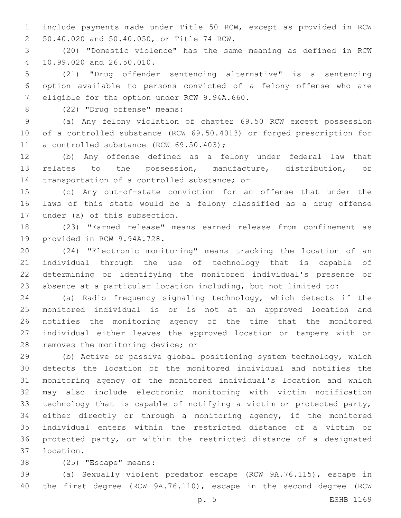include payments made under Title 50 RCW, except as provided in RCW 50.40.020 and 50.40.050, or Title 74 RCW.2

 (20) "Domestic violence" has the same meaning as defined in RCW 10.99.020 and 26.50.010.4

 (21) "Drug offender sentencing alternative" is a sentencing option available to persons convicted of a felony offense who are 7 eligible for the option under RCW 9.94A.660.

8 (22) "Drug offense" means:

 (a) Any felony violation of chapter 69.50 RCW except possession of a controlled substance (RCW 69.50.4013) or forged prescription for 11 a controlled substance (RCW 69.50.403);

 (b) Any offense defined as a felony under federal law that relates to the possession, manufacture, distribution, or 14 transportation of a controlled substance; or

 (c) Any out-of-state conviction for an offense that under the laws of this state would be a felony classified as a drug offense 17 under (a) of this subsection.

 (23) "Earned release" means earned release from confinement as 19 provided in RCW 9.94A.728.

 (24) "Electronic monitoring" means tracking the location of an individual through the use of technology that is capable of determining or identifying the monitored individual's presence or absence at a particular location including, but not limited to:

 (a) Radio frequency signaling technology, which detects if the monitored individual is or is not at an approved location and notifies the monitoring agency of the time that the monitored individual either leaves the approved location or tampers with or 28 removes the monitoring device; or

 (b) Active or passive global positioning system technology, which detects the location of the monitored individual and notifies the monitoring agency of the monitored individual's location and which may also include electronic monitoring with victim notification technology that is capable of notifying a victim or protected party, either directly or through a monitoring agency, if the monitored individual enters within the restricted distance of a victim or protected party, or within the restricted distance of a designated 37 location.

38 (25) "Escape" means:

 (a) Sexually violent predator escape (RCW 9A.76.115), escape in the first degree (RCW 9A.76.110), escape in the second degree (RCW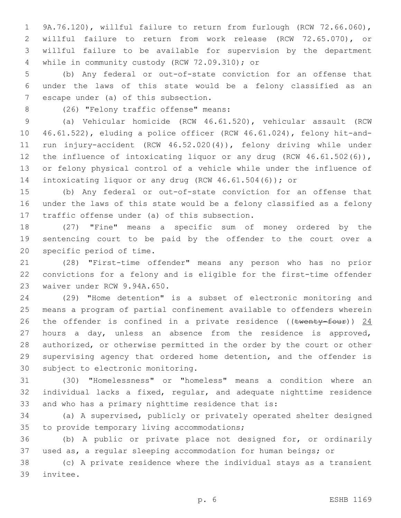9A.76.120), willful failure to return from furlough (RCW 72.66.060), willful failure to return from work release (RCW 72.65.070), or willful failure to be available for supervision by the department 4 while in community custody (RCW 72.09.310); or

 (b) Any federal or out-of-state conviction for an offense that under the laws of this state would be a felony classified as an 7 escape under (a) of this subsection.

8 (26) "Felony traffic offense" means:

 (a) Vehicular homicide (RCW 46.61.520), vehicular assault (RCW 46.61.522), eluding a police officer (RCW 46.61.024), felony hit-and- run injury-accident (RCW 46.52.020(4)), felony driving while under 12 the influence of intoxicating liquor or any drug (RCW 46.61.502(6)), or felony physical control of a vehicle while under the influence of intoxicating liquor or any drug (RCW 46.61.504(6)); or

 (b) Any federal or out-of-state conviction for an offense that under the laws of this state would be a felony classified as a felony 17 traffic offense under (a) of this subsection.

 (27) "Fine" means a specific sum of money ordered by the sentencing court to be paid by the offender to the court over a 20 specific period of time.

 (28) "First-time offender" means any person who has no prior convictions for a felony and is eligible for the first-time offender 23 waiver under RCW 9.94A.650.

 (29) "Home detention" is a subset of electronic monitoring and means a program of partial confinement available to offenders wherein 26 the offender is confined in a private residence (( $t$ wenty-four)) 24 hours a day, unless an absence from the residence is approved, authorized, or otherwise permitted in the order by the court or other supervising agency that ordered home detention, and the offender is 30 subject to electronic monitoring.

 (30) "Homelessness" or "homeless" means a condition where an individual lacks a fixed, regular, and adequate nighttime residence and who has a primary nighttime residence that is:

 (a) A supervised, publicly or privately operated shelter designed 35 to provide temporary living accommodations;

 (b) A public or private place not designed for, or ordinarily used as, a regular sleeping accommodation for human beings; or

 (c) A private residence where the individual stays as a transient 39 invitee.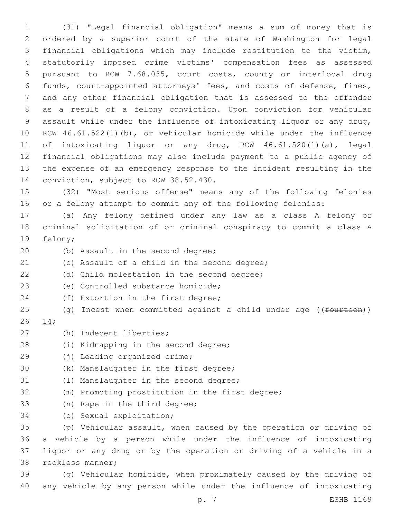(31) "Legal financial obligation" means a sum of money that is ordered by a superior court of the state of Washington for legal financial obligations which may include restitution to the victim, statutorily imposed crime victims' compensation fees as assessed pursuant to RCW 7.68.035, court costs, county or interlocal drug funds, court-appointed attorneys' fees, and costs of defense, fines, and any other financial obligation that is assessed to the offender as a result of a felony conviction. Upon conviction for vehicular assault while under the influence of intoxicating liquor or any drug, RCW 46.61.522(1)(b), or vehicular homicide while under the influence of intoxicating liquor or any drug, RCW 46.61.520(1)(a), legal financial obligations may also include payment to a public agency of the expense of an emergency response to the incident resulting in the 14 conviction, subject to RCW 38.52.430.

15 (32) "Most serious offense" means any of the following felonies 16 or a felony attempt to commit any of the following felonies:

17 (a) Any felony defined under any law as a class A felony or 18 criminal solicitation of or criminal conspiracy to commit a class A 19 felony;

- 20 (b) Assault in the second degree;
- 21 (c) Assault of a child in the second degree;
- (d) Child molestation in the second degree;
- (e) Controlled substance homicide;23
- 24 (f) Extortion in the first degree;
- 25 (g) Incest when committed against a child under age ((fourteen))
- 26 14;
- (h) Indecent liberties;27
- 28 (i) Kidnapping in the second degree;
- 29 (i) Leading organized crime;
- 30 (k) Manslaughter in the first degree;
- 31 (1) Manslaughter in the second degree;
- 32 (m) Promoting prostitution in the first degree;
- 33 (n) Rape in the third degree;
- 34 (o) Sexual exploitation;

 (p) Vehicular assault, when caused by the operation or driving of a vehicle by a person while under the influence of intoxicating liquor or any drug or by the operation or driving of a vehicle in a 38 reckless manner;

39 (q) Vehicular homicide, when proximately caused by the driving of 40 any vehicle by any person while under the influence of intoxicating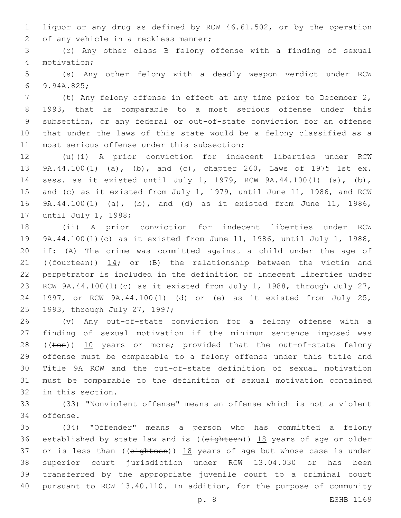liquor or any drug as defined by RCW 46.61.502, or by the operation 2 of any vehicle in a reckless manner;

 (r) Any other class B felony offense with a finding of sexual motivation;4

 (s) Any other felony with a deadly weapon verdict under RCW 9.94A.825;6

 (t) Any felony offense in effect at any time prior to December 2, 1993, that is comparable to a most serious offense under this subsection, or any federal or out-of-state conviction for an offense that under the laws of this state would be a felony classified as a 11 most serious offense under this subsection;

 (u)(i) A prior conviction for indecent liberties under RCW 9A.44.100(1) (a), (b), and (c), chapter 260, Laws of 1975 1st ex. sess. as it existed until July 1, 1979, RCW 9A.44.100(1) (a), (b), and (c) as it existed from July 1, 1979, until June 11, 1986, and RCW 9A.44.100(1) (a), (b), and (d) as it existed from June 11, 1986, 17 until July 1, 1988;

 (ii) A prior conviction for indecent liberties under RCW 9A.44.100(1)(c) as it existed from June 11, 1986, until July 1, 1988, if: (A) The crime was committed against a child under the age of 21 (( $f$ ourteen))  $14$ ; or (B) the relationship between the victim and perpetrator is included in the definition of indecent liberties under RCW 9A.44.100(1)(c) as it existed from July 1, 1988, through July 27, 1997, or RCW 9A.44.100(1) (d) or (e) as it existed from July 25, 25 1993, through July 27, 1997;

 (v) Any out-of-state conviction for a felony offense with a finding of sexual motivation if the minimum sentence imposed was 28 ((ten)) 10 years or more; provided that the out-of-state felony offense must be comparable to a felony offense under this title and Title 9A RCW and the out-of-state definition of sexual motivation must be comparable to the definition of sexual motivation contained 32 in this section.

 (33) "Nonviolent offense" means an offense which is not a violent 34 offense.

 (34) "Offender" means a person who has committed a felony 36 established by state law and is ((eighteen)) 18 years of age or older 37 or is less than ( $(e^{i\theta t} + e^{i\theta t})$ )  $18$  years of age but whose case is under superior court jurisdiction under RCW 13.04.030 or has been transferred by the appropriate juvenile court to a criminal court pursuant to RCW 13.40.110. In addition, for the purpose of community

p. 8 ESHB 1169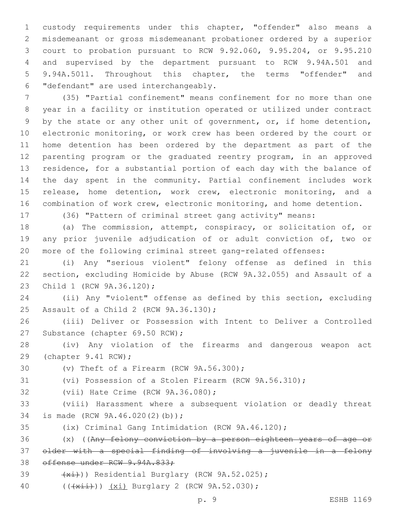custody requirements under this chapter, "offender" also means a misdemeanant or gross misdemeanant probationer ordered by a superior court to probation pursuant to RCW 9.92.060, 9.95.204, or 9.95.210 and supervised by the department pursuant to RCW 9.94A.501 and 9.94A.5011. Throughout this chapter, the terms "offender" and "defendant" are used interchangeably.6

 (35) "Partial confinement" means confinement for no more than one year in a facility or institution operated or utilized under contract 9 by the state or any other unit of government, or, if home detention, electronic monitoring, or work crew has been ordered by the court or home detention has been ordered by the department as part of the parenting program or the graduated reentry program, in an approved residence, for a substantial portion of each day with the balance of the day spent in the community. Partial confinement includes work release, home detention, work crew, electronic monitoring, and a combination of work crew, electronic monitoring, and home detention.

(36) "Pattern of criminal street gang activity" means:

 (a) The commission, attempt, conspiracy, or solicitation of, or any prior juvenile adjudication of or adult conviction of, two or more of the following criminal street gang-related offenses:

 (i) Any "serious violent" felony offense as defined in this section, excluding Homicide by Abuse (RCW 9A.32.055) and Assault of a 23 Child 1 (RCW 9A.36.120);

 (ii) Any "violent" offense as defined by this section, excluding 25 Assault of a Child 2 (RCW 9A.36.130);

 (iii) Deliver or Possession with Intent to Deliver a Controlled 27 Substance (chapter 69.50 RCW);

 (iv) Any violation of the firearms and dangerous weapon act 29 (chapter 9.41 RCW);

 $(0)$  Theft of a Firearm (RCW  $9A.56.300$ );

(vi) Possession of a Stolen Firearm (RCW 9A.56.310);

32 (vii) Hate Crime (RCW 9A.36.080);

 (viii) Harassment where a subsequent violation or deadly threat 34 is made (RCW 9A.46.020(2)(b));

(ix) Criminal Gang Intimidation (RCW 9A.46.120);

 (x) ((Any felony conviction by a person eighteen years of age or older with a special finding of involving a juvenile in a felony offense under RCW 9.94A.833;

39  $(x_i)$ ) Residential Burglary (RCW 9A.52.025);

40 (( $\frac{1}{x+i}$ )) (xi) Burglary 2 (RCW 9A.52.030);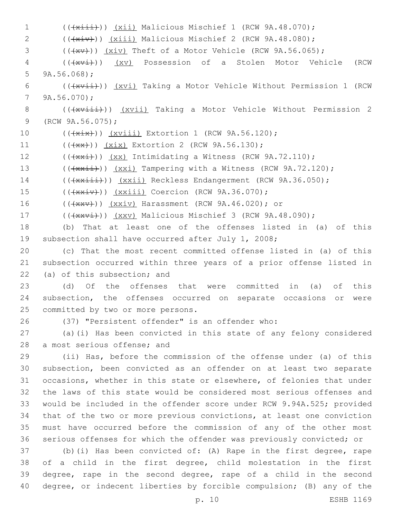1 (( $\overline{+x\pm i})$ ) (xii) Malicious Mischief 1 (RCW 9A.48.070); 2 (( $(xiv)$ )) (xiii) Malicious Mischief 2 (RCW 9A.48.080);  $3$  ( $(\overline{+x}v)$ )  $(xiv)$  Theft of a Motor Vehicle (RCW 9A.56.065); 4 (( $\frac{1}{x\sqrt{1}}$ )) (xv) Possession of a Stolen Motor Vehicle (RCW) 5  $9A.56.068$ ; 6 (( $\frac{1}{x\sqrt{1}}$ )) (xvi) Taking a Motor Vehicle Without Permission 1 (RCW)  $79A.56.070$ ; 8 (( $\frac{1}{x\sqrt{1+i}}$ )) ( $\frac{x\sqrt{1+i}}{2}$  Taking a Motor Vehicle Without Permission 2 9 (RCW 9A.56.075); 10 (( $\frac{1}{x^{i}}$ )) ( $\frac{xv^{\text{init}}}{x^{i}}$  Extortion 1 (RCW 9A.56.120); 11 (((+ x x + )) (xix) Extortion 2 (RCW 9A.56.130); 12  $((\{x\},\{y\}) \{xx\})$  Intimidating a Witness (RCW 9A.72.110); 13 (( $\frac{13}{13}$  ( $\frac{1}{120}$ )) ( $\frac{1}{120}$ ); Tampering with a Witness (RCW 9A.72.120); 14 (( $\frac{1}{4}$ )) ( $\frac{1}{2}$ ) Reckless Endangerment (RCW 9A.36.050); 15 (( $\frac{15}{15}$  (( $\frac{15}{15}$ ) (xxiii) Coercion (RCW 9A.36.070); 16 (( $\frac{16}{x}$  (( $\frac{1}{x}$ )) ( $\frac{x}{y}$ ) Harassment (RCW 9A.46.020); or 17 (( $\frac{1}{x}$ )) (xxv) Malicious Mischief 3 (RCW 9A.48.090); 18 (b) That at least one of the offenses listed in (a) of this 19 subsection shall have occurred after July 1, 2008; 20 (c) That the most recent committed offense listed in (a) of this 21 subsection occurred within three years of a prior offense listed in  $(22)$  (a) of this subsection; and 23 (d) Of the offenses that were committed in (a) of this 24 subsection, the offenses occurred on separate occasions or were 25 committed by two or more persons. 26 (37) "Persistent offender" is an offender who: 27 (a)(i) Has been convicted in this state of any felony considered 28 a most serious offense; and 29 (ii) Has, before the commission of the offense under (a) of this 30 subsection, been convicted as an offender on at least two separate 31 occasions, whether in this state or elsewhere, of felonies that under 32 the laws of this state would be considered most serious offenses and 33 would be included in the offender score under RCW 9.94A.525; provided 34 that of the two or more previous convictions, at least one conviction 35 must have occurred before the commission of any of the other most 36 serious offenses for which the offender was previously convicted; or 37 (b)(i) Has been convicted of: (A) Rape in the first degree, rape 38 of a child in the first degree, child molestation in the first 39 degree, rape in the second degree, rape of a child in the second

40 degree, or indecent liberties by forcible compulsion; (B) any of the

p. 10 ESHB 1169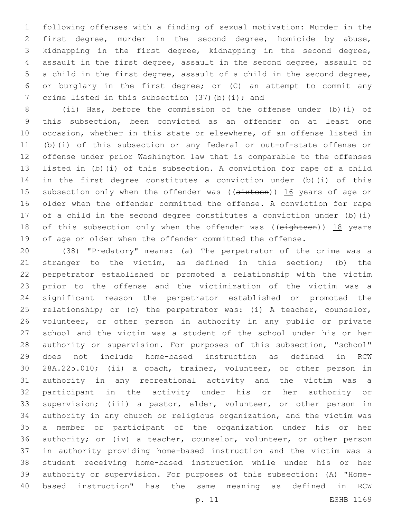following offenses with a finding of sexual motivation: Murder in the first degree, murder in the second degree, homicide by abuse, kidnapping in the first degree, kidnapping in the second degree, assault in the first degree, assault in the second degree, assault of a child in the first degree, assault of a child in the second degree, or burglary in the first degree; or (C) an attempt to commit any 7 crime listed in this subsection  $(37)(b)(i)$ ; and

 (ii) Has, before the commission of the offense under (b)(i) of this subsection, been convicted as an offender on at least one occasion, whether in this state or elsewhere, of an offense listed in (b)(i) of this subsection or any federal or out-of-state offense or offense under prior Washington law that is comparable to the offenses listed in (b)(i) of this subsection. A conviction for rape of a child in the first degree constitutes a conviction under (b)(i) of this 15 subsection only when the offender was ((sixteen)) 16 years of age or older when the offender committed the offense. A conviction for rape of a child in the second degree constitutes a conviction under (b)(i) 18 of this subsection only when the offender was ((eighteen)) 18 years of age or older when the offender committed the offense.

 (38) "Predatory" means: (a) The perpetrator of the crime was a stranger to the victim, as defined in this section; (b) the perpetrator established or promoted a relationship with the victim prior to the offense and the victimization of the victim was a significant reason the perpetrator established or promoted the relationship; or (c) the perpetrator was: (i) A teacher, counselor, volunteer, or other person in authority in any public or private school and the victim was a student of the school under his or her authority or supervision. For purposes of this subsection, "school" does not include home-based instruction as defined in RCW 28A.225.010; (ii) a coach, trainer, volunteer, or other person in authority in any recreational activity and the victim was a participant in the activity under his or her authority or supervision; (iii) a pastor, elder, volunteer, or other person in authority in any church or religious organization, and the victim was a member or participant of the organization under his or her authority; or (iv) a teacher, counselor, volunteer, or other person in authority providing home-based instruction and the victim was a student receiving home-based instruction while under his or her authority or supervision. For purposes of this subsection: (A) "Home-based instruction" has the same meaning as defined in RCW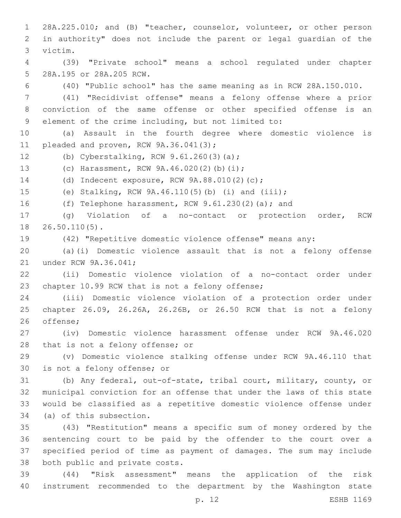28A.225.010; and (B) "teacher, counselor, volunteer, or other person in authority" does not include the parent or legal guardian of the victim.3 (39) "Private school" means a school regulated under chapter 5 28A.195 or 28A.205 RCW. (40) "Public school" has the same meaning as in RCW 28A.150.010. (41) "Recidivist offense" means a felony offense where a prior conviction of the same offense or other specified offense is an element of the crime including, but not limited to: (a) Assault in the fourth degree where domestic violence is 11 pleaded and proven, RCW 9A.36.041(3); 12 (b) Cyberstalking, RCW 9.61.260(3)(a); 13 (c) Harassment, RCW 9A.46.020(2)(b)(i); 14 (d) Indecent exposure, RCW 9A.88.010(2)(c); (e) Stalking, RCW 9A.46.110(5)(b) (i) and (iii); (f) Telephone harassment, RCW 9.61.230(2)(a); and (g) Violation of a no-contact or protection order, RCW 18 26.50.110(5). (42) "Repetitive domestic violence offense" means any: (a)(i) Domestic violence assault that is not a felony offense 21 under RCW 9A.36.041; (ii) Domestic violence violation of a no-contact order under 23 chapter 10.99 RCW that is not a felony offense; (iii) Domestic violence violation of a protection order under chapter 26.09, 26.26A, 26.26B, or 26.50 RCW that is not a felony 26 offense: (iv) Domestic violence harassment offense under RCW 9A.46.020 28 that is not a felony offense; or (v) Domestic violence stalking offense under RCW 9A.46.110 that 30 is not a felony offense; or (b) Any federal, out-of-state, tribal court, military, county, or municipal conviction for an offense that under the laws of this state would be classified as a repetitive domestic violence offense under 34 (a) of this subsection. (43) "Restitution" means a specific sum of money ordered by the sentencing court to be paid by the offender to the court over a specified period of time as payment of damages. The sum may include 38 both public and private costs. (44) "Risk assessment" means the application of the risk

instrument recommended to the department by the Washington state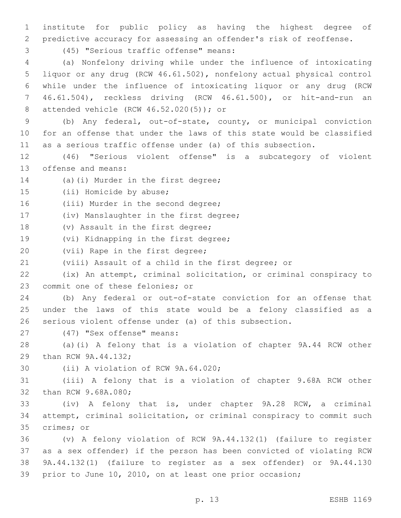1 institute for public policy as having the highest degree of 2 predictive accuracy for assessing an offender's risk of reoffense.

(45) "Serious traffic offense" means:3

 (a) Nonfelony driving while under the influence of intoxicating liquor or any drug (RCW 46.61.502), nonfelony actual physical control while under the influence of intoxicating liquor or any drug (RCW 46.61.504), reckless driving (RCW 46.61.500), or hit-and-run an 8 attended vehicle (RCW 46.52.020(5)); or

9 (b) Any federal, out-of-state, county, or municipal conviction 10 for an offense that under the laws of this state would be classified 11 as a serious traffic offense under (a) of this subsection.

12 (46) "Serious violent offense" is a subcategory of violent 13 offense and means:

14 (a)(i) Murder in the first degree;

15 (ii) Homicide by abuse;

16 (iii) Murder in the second degree;

17 (iv) Manslaughter in the first degree;

18 (v) Assault in the first degree;

19 (vi) Kidnapping in the first degree;

20 (vii) Rape in the first degree;

21 (viii) Assault of a child in the first degree; or

22 (ix) An attempt, criminal solicitation, or criminal conspiracy to 23 commit one of these felonies; or

24 (b) Any federal or out-of-state conviction for an offense that 25 under the laws of this state would be a felony classified as a 26 serious violent offense under (a) of this subsection.

27 (47) "Sex offense" means:

28 (a)(i) A felony that is a violation of chapter 9A.44 RCW other 29 than RCW 9A.44.132;

30 (ii) A violation of RCW 9A.64.020;

31 (iii) A felony that is a violation of chapter 9.68A RCW other 32 than RCW 9.68A.080;

33 (iv) A felony that is, under chapter 9A.28 RCW, a criminal 34 attempt, criminal solicitation, or criminal conspiracy to commit such 35 crimes; or

 (v) A felony violation of RCW 9A.44.132(1) (failure to register as a sex offender) if the person has been convicted of violating RCW 9A.44.132(1) (failure to register as a sex offender) or 9A.44.130 prior to June 10, 2010, on at least one prior occasion;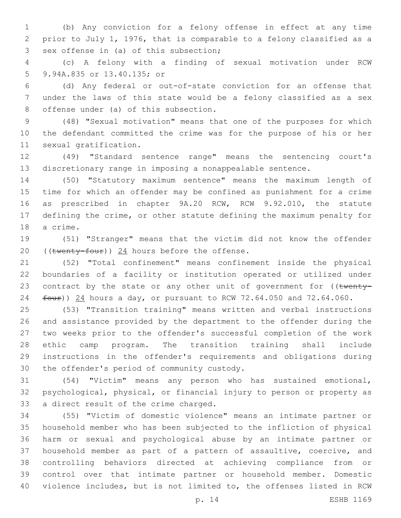(b) Any conviction for a felony offense in effect at any time prior to July 1, 1976, that is comparable to a felony classified as a 3 sex offense in (a) of this subsection;

 (c) A felony with a finding of sexual motivation under RCW 9.94A.835 or 13.40.135; or5

 (d) Any federal or out-of-state conviction for an offense that under the laws of this state would be a felony classified as a sex 8 offense under (a) of this subsection.

 (48) "Sexual motivation" means that one of the purposes for which the defendant committed the crime was for the purpose of his or her 11 sexual gratification.

 (49) "Standard sentence range" means the sentencing court's discretionary range in imposing a nonappealable sentence.

 (50) "Statutory maximum sentence" means the maximum length of time for which an offender may be confined as punishment for a crime as prescribed in chapter 9A.20 RCW, RCW 9.92.010, the statute defining the crime, or other statute defining the maximum penalty for 18 a crime.

 (51) "Stranger" means that the victim did not know the offender 20 ((twenty-four)) hours before the offense.

 (52) "Total confinement" means confinement inside the physical boundaries of a facility or institution operated or utilized under 23 contract by the state or any other unit of government for ((twenty-24 four)) 24 hours a day, or pursuant to RCW 72.64.050 and 72.64.060.

 (53) "Transition training" means written and verbal instructions and assistance provided by the department to the offender during the two weeks prior to the offender's successful completion of the work ethic camp program. The transition training shall include instructions in the offender's requirements and obligations during 30 the offender's period of community custody.

 (54) "Victim" means any person who has sustained emotional, psychological, physical, or financial injury to person or property as 33 a direct result of the crime charged.

 (55) "Victim of domestic violence" means an intimate partner or household member who has been subjected to the infliction of physical harm or sexual and psychological abuse by an intimate partner or household member as part of a pattern of assaultive, coercive, and controlling behaviors directed at achieving compliance from or control over that intimate partner or household member. Domestic violence includes, but is not limited to, the offenses listed in RCW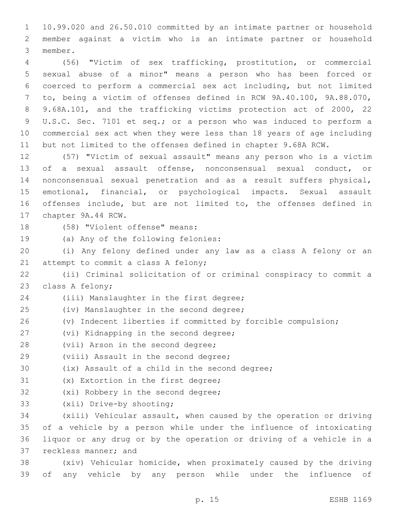1 10.99.020 and 26.50.010 committed by an intimate partner or household 2 member against a victim who is an intimate partner or household 3 member.

 (56) "Victim of sex trafficking, prostitution, or commercial sexual abuse of a minor" means a person who has been forced or coerced to perform a commercial sex act including, but not limited to, being a victim of offenses defined in RCW 9A.40.100, 9A.88.070, 9.68A.101, and the trafficking victims protection act of 2000, 22 U.S.C. Sec. 7101 et seq.; or a person who was induced to perform a commercial sex act when they were less than 18 years of age including but not limited to the offenses defined in chapter 9.68A RCW.

 (57) "Victim of sexual assault" means any person who is a victim of a sexual assault offense, nonconsensual sexual conduct, or nonconsensual sexual penetration and as a result suffers physical, emotional, financial, or psychological impacts. Sexual assault offenses include, but are not limited to, the offenses defined in 17 chapter 9A.44 RCW.

18 (58) "Violent offense" means:

19 (a) Any of the following felonies:

20 (i) Any felony defined under any law as a class A felony or an 21 attempt to commit a class A felony;

22 (ii) Criminal solicitation of or criminal conspiracy to commit a 23 class A felony;

24 (iii) Manslaughter in the first degree;

- 25 (iv) Manslaughter in the second degree;
- 26 (v) Indecent liberties if committed by forcible compulsion;
- 27 (vi) Kidnapping in the second degree;
- 28 (vii) Arson in the second degree;
- 29 (viii) Assault in the second degree;

30 (ix) Assault of a child in the second degree;

- 31 (x) Extortion in the first degree;
- 32 (xi) Robbery in the second degree;
- 33 (xii) Drive-by shooting;

 (xiii) Vehicular assault, when caused by the operation or driving of a vehicle by a person while under the influence of intoxicating liquor or any drug or by the operation or driving of a vehicle in a 37 reckless manner; and

38 (xiv) Vehicular homicide, when proximately caused by the driving 39 of any vehicle by any person while under the influence of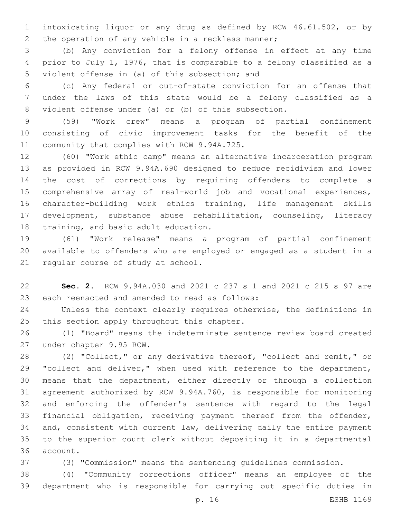intoxicating liquor or any drug as defined by RCW 46.61.502, or by 2 the operation of any vehicle in a reckless manner;

 (b) Any conviction for a felony offense in effect at any time prior to July 1, 1976, that is comparable to a felony classified as a 5 violent offense in (a) of this subsection; and

 (c) Any federal or out-of-state conviction for an offense that under the laws of this state would be a felony classified as a violent offense under (a) or (b) of this subsection.

 (59) "Work crew" means a program of partial confinement consisting of civic improvement tasks for the benefit of the 11 community that complies with RCW 9.94A.725.

 (60) "Work ethic camp" means an alternative incarceration program as provided in RCW 9.94A.690 designed to reduce recidivism and lower the cost of corrections by requiring offenders to complete a comprehensive array of real-world job and vocational experiences, character-building work ethics training, life management skills development, substance abuse rehabilitation, counseling, literacy 18 training, and basic adult education.

 (61) "Work release" means a program of partial confinement available to offenders who are employed or engaged as a student in a 21 regular course of study at school.

 **Sec. 2.** RCW 9.94A.030 and 2021 c 237 s 1 and 2021 c 215 s 97 are 23 each reenacted and amended to read as follows:

 Unless the context clearly requires otherwise, the definitions in 25 this section apply throughout this chapter.

 (1) "Board" means the indeterminate sentence review board created 27 under chapter 9.95 RCW.

 (2) "Collect," or any derivative thereof, "collect and remit," or 29 "collect and deliver," when used with reference to the department, means that the department, either directly or through a collection agreement authorized by RCW 9.94A.760, is responsible for monitoring and enforcing the offender's sentence with regard to the legal financial obligation, receiving payment thereof from the offender, and, consistent with current law, delivering daily the entire payment to the superior court clerk without depositing it in a departmental 36 account.

(3) "Commission" means the sentencing guidelines commission.

 (4) "Community corrections officer" means an employee of the department who is responsible for carrying out specific duties in

p. 16 ESHB 1169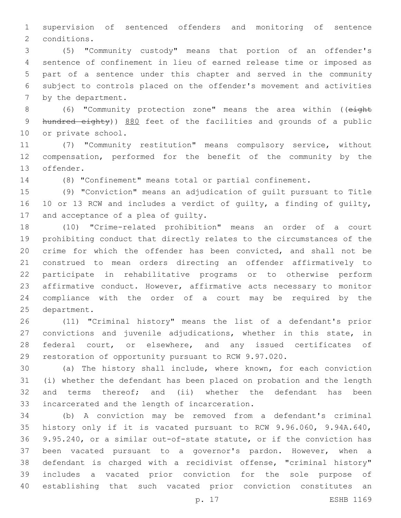supervision of sentenced offenders and monitoring of sentence 2 conditions.

 (5) "Community custody" means that portion of an offender's sentence of confinement in lieu of earned release time or imposed as part of a sentence under this chapter and served in the community subject to controls placed on the offender's movement and activities 7 by the department.

 (6) "Community protection zone" means the area within ((eight 9 hundred eighty)) 880 feet of the facilities and grounds of a public 10 or private school.

 (7) "Community restitution" means compulsory service, without compensation, performed for the benefit of the community by the 13 offender.

(8) "Confinement" means total or partial confinement.

 (9) "Conviction" means an adjudication of guilt pursuant to Title 10 or 13 RCW and includes a verdict of guilty, a finding of guilty, 17 and acceptance of a plea of quilty.

 (10) "Crime-related prohibition" means an order of a court prohibiting conduct that directly relates to the circumstances of the crime for which the offender has been convicted, and shall not be construed to mean orders directing an offender affirmatively to participate in rehabilitative programs or to otherwise perform affirmative conduct. However, affirmative acts necessary to monitor compliance with the order of a court may be required by the 25 department.

 (11) "Criminal history" means the list of a defendant's prior convictions and juvenile adjudications, whether in this state, in 28 federal court, or elsewhere, and any issued certificates of restoration of opportunity pursuant to RCW 9.97.020.

 (a) The history shall include, where known, for each conviction (i) whether the defendant has been placed on probation and the length 32 and terms thereof; and (ii) whether the defendant has been 33 incarcerated and the length of incarceration.

 (b) A conviction may be removed from a defendant's criminal history only if it is vacated pursuant to RCW 9.96.060, 9.94A.640, 9.95.240, or a similar out-of-state statute, or if the conviction has been vacated pursuant to a governor's pardon. However, when a defendant is charged with a recidivist offense, "criminal history" includes a vacated prior conviction for the sole purpose of establishing that such vacated prior conviction constitutes an

p. 17 ESHB 1169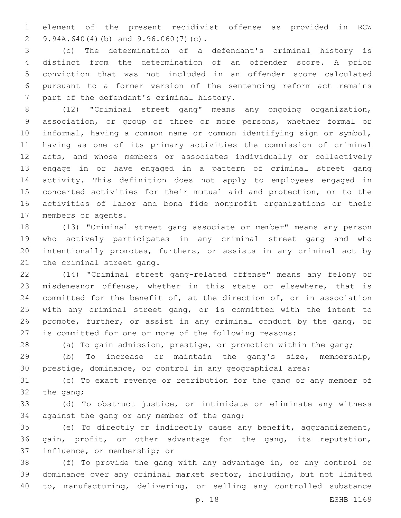element of the present recidivist offense as provided in RCW 9.94A.640(4)(b) and 9.96.060(7)(c).2

 (c) The determination of a defendant's criminal history is distinct from the determination of an offender score. A prior conviction that was not included in an offender score calculated pursuant to a former version of the sentencing reform act remains 7 part of the defendant's criminal history.

 (12) "Criminal street gang" means any ongoing organization, association, or group of three or more persons, whether formal or informal, having a common name or common identifying sign or symbol, having as one of its primary activities the commission of criminal acts, and whose members or associates individually or collectively engage in or have engaged in a pattern of criminal street gang activity. This definition does not apply to employees engaged in concerted activities for their mutual aid and protection, or to the activities of labor and bona fide nonprofit organizations or their 17 members or agents.

 (13) "Criminal street gang associate or member" means any person who actively participates in any criminal street gang and who intentionally promotes, furthers, or assists in any criminal act by 21 the criminal street gang.

 (14) "Criminal street gang-related offense" means any felony or misdemeanor offense, whether in this state or elsewhere, that is committed for the benefit of, at the direction of, or in association with any criminal street gang, or is committed with the intent to promote, further, or assist in any criminal conduct by the gang, or is committed for one or more of the following reasons:

(a) To gain admission, prestige, or promotion within the gang;

 (b) To increase or maintain the gang's size, membership, prestige, dominance, or control in any geographical area;

 (c) To exact revenge or retribution for the gang or any member of 32 the gang;

 (d) To obstruct justice, or intimidate or eliminate any witness 34 against the gang or any member of the gang;

 (e) To directly or indirectly cause any benefit, aggrandizement, gain, profit, or other advantage for the gang, its reputation, 37 influence, or membership; or

 (f) To provide the gang with any advantage in, or any control or dominance over any criminal market sector, including, but not limited to, manufacturing, delivering, or selling any controlled substance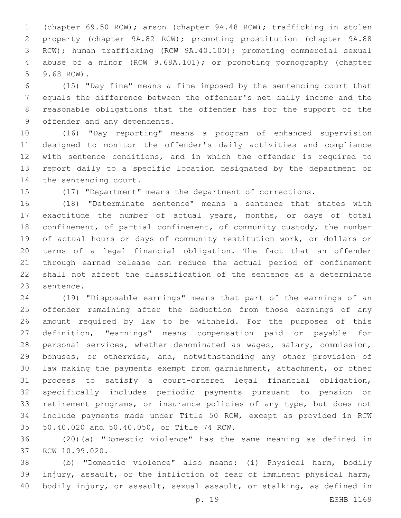(chapter 69.50 RCW); arson (chapter 9A.48 RCW); trafficking in stolen property (chapter 9A.82 RCW); promoting prostitution (chapter 9A.88 RCW); human trafficking (RCW 9A.40.100); promoting commercial sexual abuse of a minor (RCW 9.68A.101); or promoting pornography (chapter 5 9.68 RCW).

 (15) "Day fine" means a fine imposed by the sentencing court that equals the difference between the offender's net daily income and the reasonable obligations that the offender has for the support of the 9 offender and any dependents.

 (16) "Day reporting" means a program of enhanced supervision designed to monitor the offender's daily activities and compliance with sentence conditions, and in which the offender is required to report daily to a specific location designated by the department or 14 the sentencing court.

(17) "Department" means the department of corrections.

 (18) "Determinate sentence" means a sentence that states with exactitude the number of actual years, months, or days of total confinement, of partial confinement, of community custody, the number of actual hours or days of community restitution work, or dollars or terms of a legal financial obligation. The fact that an offender through earned release can reduce the actual period of confinement shall not affect the classification of the sentence as a determinate 23 sentence.

 (19) "Disposable earnings" means that part of the earnings of an offender remaining after the deduction from those earnings of any amount required by law to be withheld. For the purposes of this definition, "earnings" means compensation paid or payable for personal services, whether denominated as wages, salary, commission, bonuses, or otherwise, and, notwithstanding any other provision of law making the payments exempt from garnishment, attachment, or other process to satisfy a court-ordered legal financial obligation, specifically includes periodic payments pursuant to pension or retirement programs, or insurance policies of any type, but does not include payments made under Title 50 RCW, except as provided in RCW 35 50.40.020 and 50.40.050, or Title 74 RCW.

 (20)(a) "Domestic violence" has the same meaning as defined in 37 RCW 10.99.020.

 (b) "Domestic violence" also means: (i) Physical harm, bodily injury, assault, or the infliction of fear of imminent physical harm, bodily injury, or assault, sexual assault, or stalking, as defined in

p. 19 ESHB 1169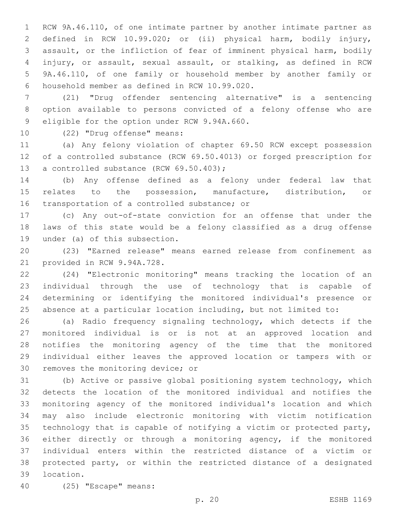RCW 9A.46.110, of one intimate partner by another intimate partner as defined in RCW 10.99.020; or (ii) physical harm, bodily injury, assault, or the infliction of fear of imminent physical harm, bodily injury, or assault, sexual assault, or stalking, as defined in RCW 9A.46.110, of one family or household member by another family or household member as defined in RCW 10.99.020.6

 (21) "Drug offender sentencing alternative" is a sentencing option available to persons convicted of a felony offense who are 9 eligible for the option under RCW 9.94A.660.

10 (22) "Drug offense" means:

 (a) Any felony violation of chapter 69.50 RCW except possession of a controlled substance (RCW 69.50.4013) or forged prescription for 13 a controlled substance (RCW 69.50.403);

 (b) Any offense defined as a felony under federal law that relates to the possession, manufacture, distribution, or 16 transportation of a controlled substance; or

 (c) Any out-of-state conviction for an offense that under the laws of this state would be a felony classified as a drug offense 19 under (a) of this subsection.

 (23) "Earned release" means earned release from confinement as 21 provided in RCW 9.94A.728.

 (24) "Electronic monitoring" means tracking the location of an individual through the use of technology that is capable of determining or identifying the monitored individual's presence or absence at a particular location including, but not limited to:

 (a) Radio frequency signaling technology, which detects if the monitored individual is or is not at an approved location and notifies the monitoring agency of the time that the monitored individual either leaves the approved location or tampers with or 30 removes the monitoring device; or

 (b) Active or passive global positioning system technology, which detects the location of the monitored individual and notifies the monitoring agency of the monitored individual's location and which may also include electronic monitoring with victim notification technology that is capable of notifying a victim or protected party, either directly or through a monitoring agency, if the monitored individual enters within the restricted distance of a victim or protected party, or within the restricted distance of a designated 39 location.

(25) "Escape" means:40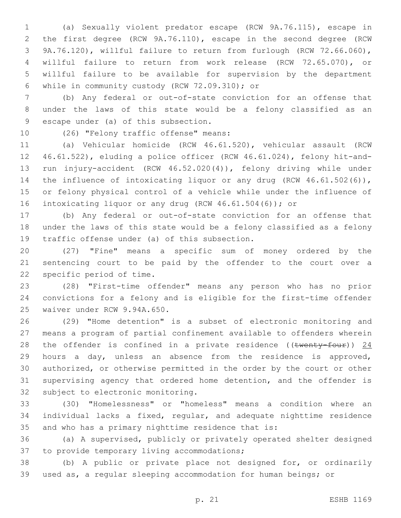(a) Sexually violent predator escape (RCW 9A.76.115), escape in the first degree (RCW 9A.76.110), escape in the second degree (RCW 9A.76.120), willful failure to return from furlough (RCW 72.66.060), willful failure to return from work release (RCW 72.65.070), or willful failure to be available for supervision by the department while in community custody (RCW 72.09.310); or6

 (b) Any federal or out-of-state conviction for an offense that under the laws of this state would be a felony classified as an 9 escape under (a) of this subsection.

10 (26) "Felony traffic offense" means:

 (a) Vehicular homicide (RCW 46.61.520), vehicular assault (RCW 46.61.522), eluding a police officer (RCW 46.61.024), felony hit-and- run injury-accident (RCW 46.52.020(4)), felony driving while under 14 the influence of intoxicating liquor or any drug (RCW 46.61.502(6)), or felony physical control of a vehicle while under the influence of intoxicating liquor or any drug (RCW 46.61.504(6)); or

 (b) Any federal or out-of-state conviction for an offense that under the laws of this state would be a felony classified as a felony 19 traffic offense under (a) of this subsection.

 (27) "Fine" means a specific sum of money ordered by the sentencing court to be paid by the offender to the court over a 22 specific period of time.

 (28) "First-time offender" means any person who has no prior convictions for a felony and is eligible for the first-time offender 25 waiver under RCW 9.94A.650.

 (29) "Home detention" is a subset of electronic monitoring and means a program of partial confinement available to offenders wherein 28 the offender is confined in a private residence ((twenty-four)) 24 hours a day, unless an absence from the residence is approved, authorized, or otherwise permitted in the order by the court or other supervising agency that ordered home detention, and the offender is 32 subject to electronic monitoring.

 (30) "Homelessness" or "homeless" means a condition where an individual lacks a fixed, regular, and adequate nighttime residence and who has a primary nighttime residence that is:

 (a) A supervised, publicly or privately operated shelter designed 37 to provide temporary living accommodations;

 (b) A public or private place not designed for, or ordinarily used as, a regular sleeping accommodation for human beings; or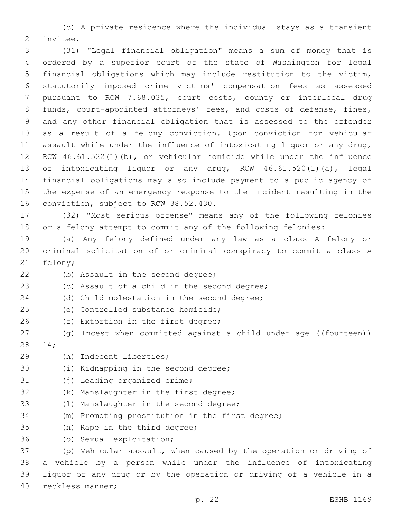1 (c) A private residence where the individual stays as a transient 2 invitee.

 (31) "Legal financial obligation" means a sum of money that is ordered by a superior court of the state of Washington for legal financial obligations which may include restitution to the victim, statutorily imposed crime victims' compensation fees as assessed pursuant to RCW 7.68.035, court costs, county or interlocal drug funds, court-appointed attorneys' fees, and costs of defense, fines, and any other financial obligation that is assessed to the offender as a result of a felony conviction. Upon conviction for vehicular assault while under the influence of intoxicating liquor or any drug, RCW 46.61.522(1)(b), or vehicular homicide while under the influence of intoxicating liquor or any drug, RCW 46.61.520(1)(a), legal financial obligations may also include payment to a public agency of the expense of an emergency response to the incident resulting in the 16 conviction, subject to RCW 38.52.430.

17 (32) "Most serious offense" means any of the following felonies 18 or a felony attempt to commit any of the following felonies:

19 (a) Any felony defined under any law as a class A felony or 20 criminal solicitation of or criminal conspiracy to commit a class A 21 felony;

22 (b) Assault in the second degree; 23 (c) Assault of a child in the second degree; 24 (d) Child molestation in the second degree; 25 (e) Controlled substance homicide; 26 (f) Extortion in the first degree; 27 (g) Incest when committed against a child under age ((<del>fourteen</del>)) 14;28 (h) Indecent liberties;29 30 (i) Kidnapping in the second degree; 31 (j) Leading organized crime; 32 (k) Manslaughter in the first degree; 33 (1) Manslaughter in the second degree; 34 (m) Promoting prostitution in the first degree; 35 (n) Rape in the third degree; 36 (o) Sexual exploitation; 37 (p) Vehicular assault, when caused by the operation or driving of 38 a vehicle by a person while under the influence of intoxicating 39 liquor or any drug or by the operation or driving of a vehicle in a 40 reckless manner;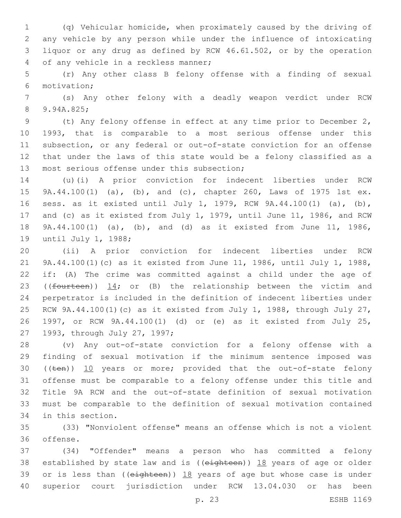(q) Vehicular homicide, when proximately caused by the driving of any vehicle by any person while under the influence of intoxicating liquor or any drug as defined by RCW 46.61.502, or by the operation 4 of any vehicle in a reckless manner;

 (r) Any other class B felony offense with a finding of sexual motivation;6

 (s) Any other felony with a deadly weapon verdict under RCW 8 9.94A.825;

 (t) Any felony offense in effect at any time prior to December 2, 1993, that is comparable to a most serious offense under this subsection, or any federal or out-of-state conviction for an offense that under the laws of this state would be a felony classified as a 13 most serious offense under this subsection;

 (u)(i) A prior conviction for indecent liberties under RCW 9A.44.100(1) (a), (b), and (c), chapter 260, Laws of 1975 1st ex. sess. as it existed until July 1, 1979, RCW 9A.44.100(1) (a), (b), and (c) as it existed from July 1, 1979, until June 11, 1986, and RCW 9A.44.100(1) (a), (b), and (d) as it existed from June 11, 1986, 19 until July 1, 1988;

 (ii) A prior conviction for indecent liberties under RCW 9A.44.100(1)(c) as it existed from June 11, 1986, until July 1, 1988, if: (A) The crime was committed against a child under the age of 23 (( $f$ ourteen))  $14$ ; or (B) the relationship between the victim and perpetrator is included in the definition of indecent liberties under RCW 9A.44.100(1)(c) as it existed from July 1, 1988, through July 27, 1997, or RCW 9A.44.100(1) (d) or (e) as it existed from July 25, 27 1993, through July 27, 1997;

 (v) Any out-of-state conviction for a felony offense with a finding of sexual motivation if the minimum sentence imposed was 30 ((ten)) 10 years or more; provided that the out-of-state felony offense must be comparable to a felony offense under this title and Title 9A RCW and the out-of-state definition of sexual motivation must be comparable to the definition of sexual motivation contained 34 in this section.

 (33) "Nonviolent offense" means an offense which is not a violent 36 offense.

 (34) "Offender" means a person who has committed a felony 38 established by state law and is ((eighteen)) 18 years of age or older 39 or is less than (( $e$ ighteen))  $18$  years of age but whose case is under superior court jurisdiction under RCW 13.04.030 or has been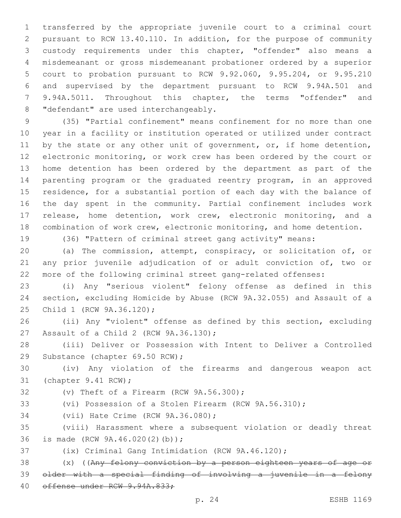transferred by the appropriate juvenile court to a criminal court pursuant to RCW 13.40.110. In addition, for the purpose of community custody requirements under this chapter, "offender" also means a misdemeanant or gross misdemeanant probationer ordered by a superior court to probation pursuant to RCW 9.92.060, 9.95.204, or 9.95.210 and supervised by the department pursuant to RCW 9.94A.501 and 9.94A.5011. Throughout this chapter, the terms "offender" and 8 "defendant" are used interchangeably.

 (35) "Partial confinement" means confinement for no more than one year in a facility or institution operated or utilized under contract 11 by the state or any other unit of government, or, if home detention, electronic monitoring, or work crew has been ordered by the court or home detention has been ordered by the department as part of the parenting program or the graduated reentry program, in an approved residence, for a substantial portion of each day with the balance of the day spent in the community. Partial confinement includes work release, home detention, work crew, electronic monitoring, and a combination of work crew, electronic monitoring, and home detention.

(36) "Pattern of criminal street gang activity" means:

 (a) The commission, attempt, conspiracy, or solicitation of, or any prior juvenile adjudication of or adult conviction of, two or more of the following criminal street gang-related offenses:

 (i) Any "serious violent" felony offense as defined in this section, excluding Homicide by Abuse (RCW 9A.32.055) and Assault of a 25 Child 1 (RCW 9A.36.120);

 (ii) Any "violent" offense as defined by this section, excluding 27 Assault of a Child 2 (RCW 9A.36.130);

 (iii) Deliver or Possession with Intent to Deliver a Controlled 29 Substance (chapter 69.50 RCW);

 (iv) Any violation of the firearms and dangerous weapon act 31 (chapter 9.41 RCW);

 $(32)$  (v) Theft of a Firearm (RCW  $9A.56.300$ );

(vi) Possession of a Stolen Firearm (RCW 9A.56.310);

34 (vii) Hate Crime (RCW 9A.36.080);

 (viii) Harassment where a subsequent violation or deadly threat 36 is made (RCW 9A.46.020(2)(b));

(ix) Criminal Gang Intimidation (RCW 9A.46.120);

 (x) ((Any felony conviction by a person eighteen years of age or older with a special finding of involving a juvenile in a felony 40 offense under RCW 9.94A.833;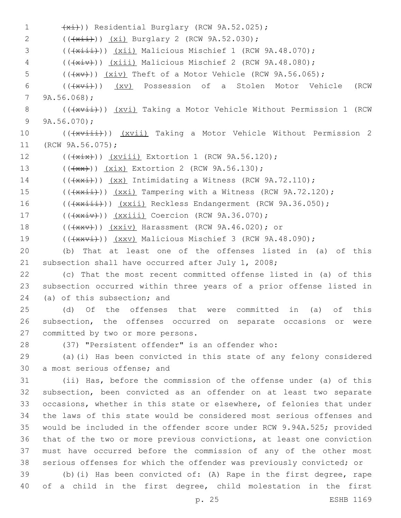1  $(x_i)$ ) Residential Burglary (RCW 9A.52.025); 2 (( $\frac{x_i^2}{x_i^2}$ )) (xi) Burglary 2 (RCW 9A.52.030); 3 (( $\frac{1}{x\pm i})$ ) (xii) Malicious Mischief 1 (RCW 9A.48.070); 4 (( $(xiv)$ )) (xiii) Malicious Mischief 2 (RCW 9A.48.080); 5  $((+x+))$   $(xiv)$  Theft of a Motor Vehicle (RCW 9A.56.065); 6 (( $\frac{1}{x\sqrt{1}}$ )) (xv) Possession of a Stolen Motor Vehicle (RCW) 9A.56.068);7 8 (( $\frac{1}{x\sqrt{1}}$ )) (xvi) Taking a Motor Vehicle Without Permission 1 (RCW) 9  $9A.56.070$ ; 10 (((xviii))) (xvii) Taking a Motor Vehicle Without Permission 2 11 (RCW 9A.56.075); 12 (( $\frac{1}{x^{i+1}}$ )) ( $\frac{xv^{\text{init}}}{x^{i+1}}$  Extortion 1 (RCW 9A.56.120); 13 (((+ x + )) (xix) Extortion 2 (RCW 9A.56.130); 14  $((\{x\},\{y\}) \{xx\})$  Intimidating a Witness (RCW 9A.72.110); 15 (( $\frac{15}{15}$  (( $\frac{1}{120}$ )) ( $\frac{1}{120}$ ); Tampering with a Witness (RCW 9A.72.120); 16 (( $\frac{16}{16}$  (( $\frac{1}{12}$ )) ( $\frac{1}{2}$ ) Reckless Endangerment (RCW 9A.36.050); 17 (( $\frac{1}{x}\left(\frac{1}{x}\right)$ ) ( $\frac{x}\left(\frac{x}{1}\right)$  Coercion (RCW 9A.36.070); 18 (( $\overline{+x}$ )) (xxiv) Harassment (RCW 9A.46.020); or 19 (( $\frac{19}{18}$  (( $\frac{11}{18}$ )) (xxv) Malicious Mischief 3 (RCW 9A.48.090); 20 (b) That at least one of the offenses listed in (a) of this 21 subsection shall have occurred after July 1, 2008; 22 (c) That the most recent committed offense listed in (a) of this 23 subsection occurred within three years of a prior offense listed in 24 (a) of this subsection; and 25 (d) Of the offenses that were committed in (a) of this 26 subsection, the offenses occurred on separate occasions or were 27 committed by two or more persons. 28 (37) "Persistent offender" is an offender who: 29 (a)(i) Has been convicted in this state of any felony considered 30 a most serious offense; and 31 (ii) Has, before the commission of the offense under (a) of this 32 subsection, been convicted as an offender on at least two separate 33 occasions, whether in this state or elsewhere, of felonies that under 34 the laws of this state would be considered most serious offenses and 35 would be included in the offender score under RCW 9.94A.525; provided 36 that of the two or more previous convictions, at least one conviction 37 must have occurred before the commission of any of the other most 38 serious offenses for which the offender was previously convicted; or 39 (b)(i) Has been convicted of: (A) Rape in the first degree, rape 40 of a child in the first degree, child molestation in the first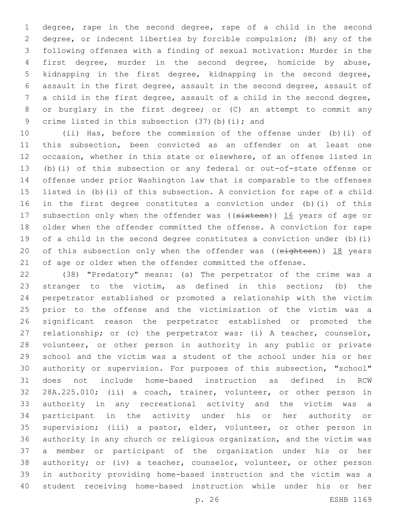degree, rape in the second degree, rape of a child in the second degree, or indecent liberties by forcible compulsion; (B) any of the following offenses with a finding of sexual motivation: Murder in the first degree, murder in the second degree, homicide by abuse, kidnapping in the first degree, kidnapping in the second degree, assault in the first degree, assault in the second degree, assault of a child in the first degree, assault of a child in the second degree, or burglary in the first degree; or (C) an attempt to commit any 9 crime listed in this subsection (37)(b)(i); and

 (ii) Has, before the commission of the offense under (b)(i) of this subsection, been convicted as an offender on at least one occasion, whether in this state or elsewhere, of an offense listed in (b)(i) of this subsection or any federal or out-of-state offense or offense under prior Washington law that is comparable to the offenses listed in (b)(i) of this subsection. A conviction for rape of a child in the first degree constitutes a conviction under (b)(i) of this 17 subsection only when the offender was ((sixteen)) 16 years of age or older when the offender committed the offense. A conviction for rape of a child in the second degree constitutes a conviction under (b)(i) 20 of this subsection only when the offender was ((eighteen)) 18 years of age or older when the offender committed the offense.

 (38) "Predatory" means: (a) The perpetrator of the crime was a stranger to the victim, as defined in this section; (b) the perpetrator established or promoted a relationship with the victim prior to the offense and the victimization of the victim was a significant reason the perpetrator established or promoted the relationship; or (c) the perpetrator was: (i) A teacher, counselor, volunteer, or other person in authority in any public or private school and the victim was a student of the school under his or her authority or supervision. For purposes of this subsection, "school" does not include home-based instruction as defined in RCW 28A.225.010; (ii) a coach, trainer, volunteer, or other person in authority in any recreational activity and the victim was a participant in the activity under his or her authority or supervision; (iii) a pastor, elder, volunteer, or other person in authority in any church or religious organization, and the victim was a member or participant of the organization under his or her authority; or (iv) a teacher, counselor, volunteer, or other person in authority providing home-based instruction and the victim was a student receiving home-based instruction while under his or her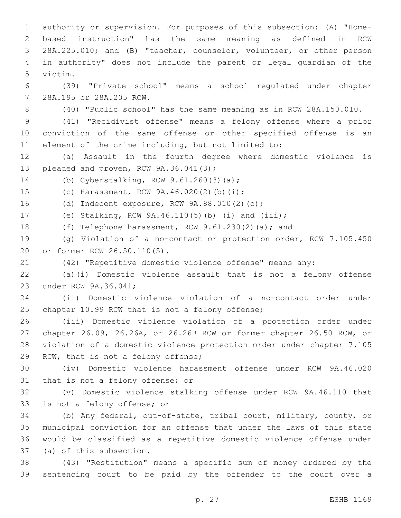authority or supervision. For purposes of this subsection: (A) "Home- based instruction" has the same meaning as defined in RCW 28A.225.010; and (B) "teacher, counselor, volunteer, or other person in authority" does not include the parent or legal guardian of the 5 victim. (39) "Private school" means a school regulated under chapter 28A.195 or 28A.205 RCW.7

(40) "Public school" has the same meaning as in RCW 28A.150.010.

 (41) "Recidivist offense" means a felony offense where a prior conviction of the same offense or other specified offense is an element of the crime including, but not limited to:

 (a) Assault in the fourth degree where domestic violence is 13 pleaded and proven, RCW 9A.36.041(3);

14 (b) Cyberstalking, RCW 9.61.260(3)(a);

15 (c) Harassment, RCW 9A.46.020(2)(b)(i);

16 (d) Indecent exposure, RCW 9A.88.010(2)(c);

(e) Stalking, RCW 9A.46.110(5)(b) (i) and (iii);

(f) Telephone harassment, RCW 9.61.230(2)(a); and

 (g) Violation of a no-contact or protection order, RCW 7.105.450 20 or former RCW 26.50.110(5).

(42) "Repetitive domestic violence offense" means any:

 (a)(i) Domestic violence assault that is not a felony offense 23 under RCW 9A.36.041;

 (ii) Domestic violence violation of a no-contact order under 25 chapter 10.99 RCW that is not a felony offense;

 (iii) Domestic violence violation of a protection order under chapter 26.09, 26.26A, or 26.26B RCW or former chapter 26.50 RCW, or violation of a domestic violence protection order under chapter 7.105 29 RCW, that is not a felony offense;

 (iv) Domestic violence harassment offense under RCW 9A.46.020 31 that is not a felony offense; or

 (v) Domestic violence stalking offense under RCW 9A.46.110 that 33 is not a felony offense; or

 (b) Any federal, out-of-state, tribal court, military, county, or municipal conviction for an offense that under the laws of this state would be classified as a repetitive domestic violence offense under 37 (a) of this subsection.

 (43) "Restitution" means a specific sum of money ordered by the sentencing court to be paid by the offender to the court over a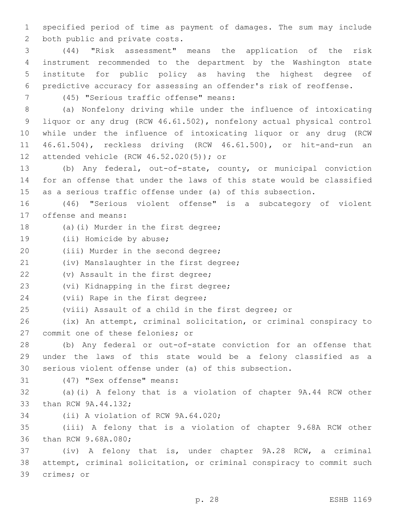1 specified period of time as payment of damages. The sum may include 2 both public and private costs.

 (44) "Risk assessment" means the application of the risk instrument recommended to the department by the Washington state institute for public policy as having the highest degree of predictive accuracy for assessing an offender's risk of reoffense.

(45) "Serious traffic offense" means:7

 (a) Nonfelony driving while under the influence of intoxicating liquor or any drug (RCW 46.61.502), nonfelony actual physical control while under the influence of intoxicating liquor or any drug (RCW 46.61.504), reckless driving (RCW 46.61.500), or hit-and-run an 12 attended vehicle (RCW 46.52.020(5)); or

13 (b) Any federal, out-of-state, county, or municipal conviction 14 for an offense that under the laws of this state would be classified 15 as a serious traffic offense under (a) of this subsection.

16 (46) "Serious violent offense" is a subcategory of violent 17 offense and means:

- 18 (a)(i) Murder in the first degree;
- 19 (ii) Homicide by abuse;
- 20 (iii) Murder in the second degree;

21 (iv) Manslaughter in the first degree;

22 (v) Assault in the first degree;

23 (vi) Kidnapping in the first degree;

24 (vii) Rape in the first degree;

25 (viii) Assault of a child in the first degree; or

26 (ix) An attempt, criminal solicitation, or criminal conspiracy to 27 commit one of these felonies; or

28 (b) Any federal or out-of-state conviction for an offense that 29 under the laws of this state would be a felony classified as a 30 serious violent offense under (a) of this subsection.

31 (47) "Sex offense" means:

32 (a)(i) A felony that is a violation of chapter 9A.44 RCW other 33 than RCW 9A.44.132;

34 (ii) A violation of RCW 9A.64.020;

35 (iii) A felony that is a violation of chapter 9.68A RCW other 36 than RCW 9.68A.080;

37 (iv) A felony that is, under chapter 9A.28 RCW, a criminal 38 attempt, criminal solicitation, or criminal conspiracy to commit such 39 crimes; or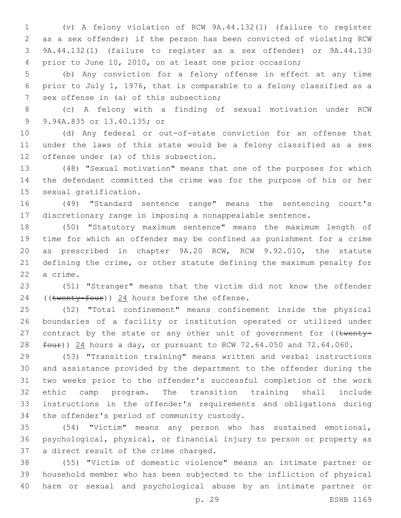(v) A felony violation of RCW 9A.44.132(1) (failure to register as a sex offender) if the person has been convicted of violating RCW 9A.44.132(1) (failure to register as a sex offender) or 9A.44.130 prior to June 10, 2010, on at least one prior occasion;

 (b) Any conviction for a felony offense in effect at any time prior to July 1, 1976, that is comparable to a felony classified as a 7 sex offense in (a) of this subsection;

 (c) A felony with a finding of sexual motivation under RCW 9 9.94A.835 or 13.40.135; or

 (d) Any federal or out-of-state conviction for an offense that under the laws of this state would be a felony classified as a sex 12 offense under (a) of this subsection.

 (48) "Sexual motivation" means that one of the purposes for which the defendant committed the crime was for the purpose of his or her 15 sexual gratification.

 (49) "Standard sentence range" means the sentencing court's discretionary range in imposing a nonappealable sentence.

 (50) "Statutory maximum sentence" means the maximum length of time for which an offender may be confined as punishment for a crime as prescribed in chapter 9A.20 RCW, RCW 9.92.010, the statute defining the crime, or other statute defining the maximum penalty for 22 a crime.

 (51) "Stranger" means that the victim did not know the offender 24 ((twenty-four)) hours before the offense.

 (52) "Total confinement" means confinement inside the physical boundaries of a facility or institution operated or utilized under 27 contract by the state or any other unit of government for  $($  (twenty- $f_{\text{out}}$ )) 24 hours a day, or pursuant to RCW 72.64.050 and 72.64.060.

 (53) "Transition training" means written and verbal instructions and assistance provided by the department to the offender during the two weeks prior to the offender's successful completion of the work ethic camp program. The transition training shall include instructions in the offender's requirements and obligations during 34 the offender's period of community custody.

 (54) "Victim" means any person who has sustained emotional, psychological, physical, or financial injury to person or property as 37 a direct result of the crime charged.

 (55) "Victim of domestic violence" means an intimate partner or household member who has been subjected to the infliction of physical harm or sexual and psychological abuse by an intimate partner or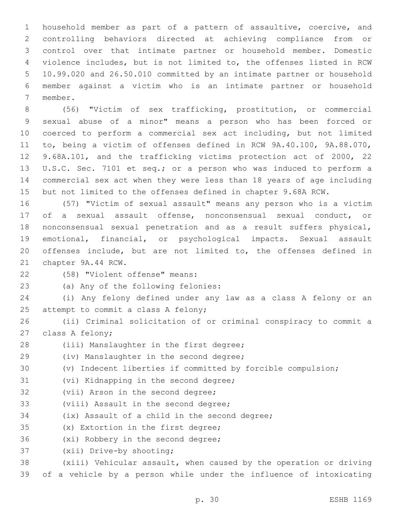household member as part of a pattern of assaultive, coercive, and controlling behaviors directed at achieving compliance from or control over that intimate partner or household member. Domestic violence includes, but is not limited to, the offenses listed in RCW 10.99.020 and 26.50.010 committed by an intimate partner or household member against a victim who is an intimate partner or household 7 member.

 (56) "Victim of sex trafficking, prostitution, or commercial sexual abuse of a minor" means a person who has been forced or coerced to perform a commercial sex act including, but not limited to, being a victim of offenses defined in RCW 9A.40.100, 9A.88.070, 9.68A.101, and the trafficking victims protection act of 2000, 22 U.S.C. Sec. 7101 et seq.; or a person who was induced to perform a commercial sex act when they were less than 18 years of age including but not limited to the offenses defined in chapter 9.68A RCW.

 (57) "Victim of sexual assault" means any person who is a victim of a sexual assault offense, nonconsensual sexual conduct, or nonconsensual sexual penetration and as a result suffers physical, emotional, financial, or psychological impacts. Sexual assault offenses include, but are not limited to, the offenses defined in 21 chapter 9A.44 RCW.

(58) "Violent offense" means:22

23 (a) Any of the following felonies:

24 (i) Any felony defined under any law as a class A felony or an 25 attempt to commit a class A felony;

26 (ii) Criminal solicitation of or criminal conspiracy to commit a 27 class A felony;

28 (iii) Manslaughter in the first degree;

29 (iv) Manslaughter in the second degree;

30 (v) Indecent liberties if committed by forcible compulsion;

31 (vi) Kidnapping in the second degree;

32 (vii) Arson in the second degree;

33 (viii) Assault in the second degree;

34 (ix) Assault of a child in the second degree;

35 (x) Extortion in the first degree;

36 (xi) Robbery in the second degree;

37 (xii) Drive-by shooting;

38 (xiii) Vehicular assault, when caused by the operation or driving 39 of a vehicle by a person while under the influence of intoxicating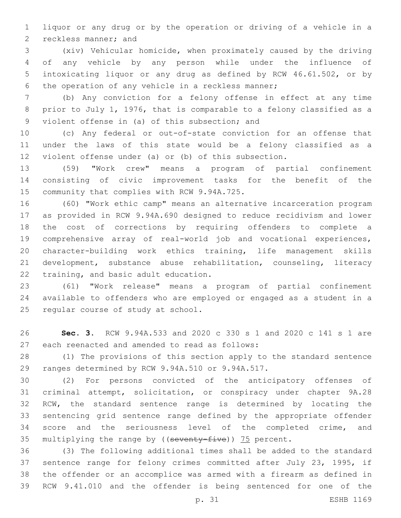liquor or any drug or by the operation or driving of a vehicle in a 2 reckless manner; and

 (xiv) Vehicular homicide, when proximately caused by the driving of any vehicle by any person while under the influence of intoxicating liquor or any drug as defined by RCW 46.61.502, or by 6 the operation of any vehicle in a reckless manner;

 (b) Any conviction for a felony offense in effect at any time prior to July 1, 1976, that is comparable to a felony classified as a 9 violent offense in (a) of this subsection; and

 (c) Any federal or out-of-state conviction for an offense that under the laws of this state would be a felony classified as a violent offense under (a) or (b) of this subsection.

 (59) "Work crew" means a program of partial confinement consisting of civic improvement tasks for the benefit of the 15 community that complies with RCW 9.94A.725.

 (60) "Work ethic camp" means an alternative incarceration program as provided in RCW 9.94A.690 designed to reduce recidivism and lower the cost of corrections by requiring offenders to complete a comprehensive array of real-world job and vocational experiences, character-building work ethics training, life management skills development, substance abuse rehabilitation, counseling, literacy 22 training, and basic adult education.

 (61) "Work release" means a program of partial confinement available to offenders who are employed or engaged as a student in a 25 regular course of study at school.

 **Sec. 3.** RCW 9.94A.533 and 2020 c 330 s 1 and 2020 c 141 s 1 are 27 each reenacted and amended to read as follows:

 (1) The provisions of this section apply to the standard sentence 29 ranges determined by RCW 9.94A.510 or 9.94A.517.

 (2) For persons convicted of the anticipatory offenses of criminal attempt, solicitation, or conspiracy under chapter 9A.28 RCW, the standard sentence range is determined by locating the sentencing grid sentence range defined by the appropriate offender score and the seriousness level of the completed crime, and 35 multiplying the range by ((seventy-five)) 75 percent.

 (3) The following additional times shall be added to the standard sentence range for felony crimes committed after July 23, 1995, if the offender or an accomplice was armed with a firearm as defined in RCW 9.41.010 and the offender is being sentenced for one of the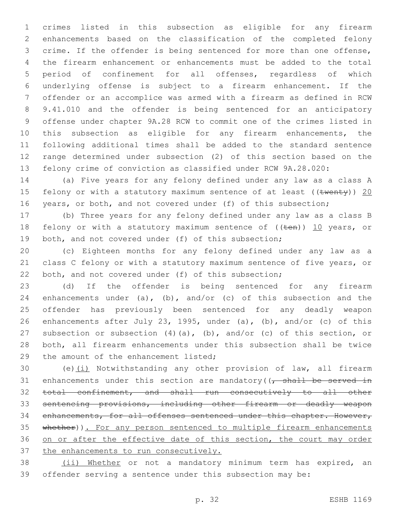crimes listed in this subsection as eligible for any firearm enhancements based on the classification of the completed felony crime. If the offender is being sentenced for more than one offense, the firearm enhancement or enhancements must be added to the total period of confinement for all offenses, regardless of which underlying offense is subject to a firearm enhancement. If the offender or an accomplice was armed with a firearm as defined in RCW 9.41.010 and the offender is being sentenced for an anticipatory offense under chapter 9A.28 RCW to commit one of the crimes listed in this subsection as eligible for any firearm enhancements, the following additional times shall be added to the standard sentence range determined under subsection (2) of this section based on the felony crime of conviction as classified under RCW 9A.28.020:

 (a) Five years for any felony defined under any law as a class A 15 felony or with a statutory maximum sentence of at least ((twenty)) 20 16 years, or both, and not covered under (f) of this subsection;

 (b) Three years for any felony defined under any law as a class B 18 felony or with a statutory maximum sentence of  $((ten))$  10 years, or both, and not covered under (f) of this subsection;

 (c) Eighteen months for any felony defined under any law as a class C felony or with a statutory maximum sentence of five years, or 22 both, and not covered under (f) of this subsection;

 (d) If the offender is being sentenced for any firearm 24 enhancements under (a), (b), and/or (c) of this subsection and the offender has previously been sentenced for any deadly weapon enhancements after July 23, 1995, under (a), (b), and/or (c) of this subsection or subsection (4)(a), (b), and/or (c) of this section, or both, all firearm enhancements under this subsection shall be twice 29 the amount of the enhancement listed;

 (e)(i) Notwithstanding any other provision of law, all firearm 31 enhancements under this section are mandatory( $\sqrt{t}$  shall be served in total confinement, and shall run consecutively to all other sentencing provisions, including other firearm or deadly weapon 34 enhancements, for all offenses sentenced under this chapter. However, 35 whether)). For any person sentenced to multiple firearm enhancements 36 on or after the effective date of this section, the court may order 37 the enhancements to run consecutively.

38 (ii) Whether or not a mandatory minimum term has expired, an offender serving a sentence under this subsection may be: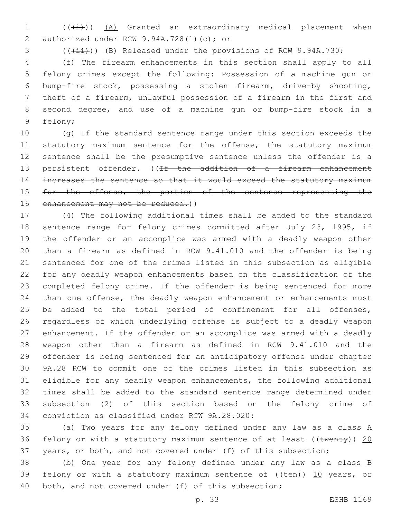(( $\overline{+i}$ )) <u>(A)</u> Granted an extraordinary medical placement when 2 authorized under RCW 9.94A.728(1)(c); or

3 (( $(\frac{1+i}{1})$ ) (B) Released under the provisions of RCW 9.94A.730;

 (f) The firearm enhancements in this section shall apply to all felony crimes except the following: Possession of a machine gun or bump-fire stock, possessing a stolen firearm, drive-by shooting, theft of a firearm, unlawful possession of a firearm in the first and second degree, and use of a machine gun or bump-fire stock in a 9 felony;

 (g) If the standard sentence range under this section exceeds the 11 statutory maximum sentence for the offense, the statutory maximum sentence shall be the presumptive sentence unless the offender is a 13 persistent offender. ((If the addition of a firearm enhancement increases the sentence so that it would exceed the statutory maximum 15 for the offense, the portion of the sentence representing the 16 enhancement may not be reduced.))

 (4) The following additional times shall be added to the standard sentence range for felony crimes committed after July 23, 1995, if the offender or an accomplice was armed with a deadly weapon other than a firearm as defined in RCW 9.41.010 and the offender is being sentenced for one of the crimes listed in this subsection as eligible for any deadly weapon enhancements based on the classification of the completed felony crime. If the offender is being sentenced for more than one offense, the deadly weapon enhancement or enhancements must 25 be added to the total period of confinement for all offenses, regardless of which underlying offense is subject to a deadly weapon enhancement. If the offender or an accomplice was armed with a deadly weapon other than a firearm as defined in RCW 9.41.010 and the offender is being sentenced for an anticipatory offense under chapter 9A.28 RCW to commit one of the crimes listed in this subsection as eligible for any deadly weapon enhancements, the following additional times shall be added to the standard sentence range determined under subsection (2) of this section based on the felony crime of 34 conviction as classified under RCW 9A.28.020:

 (a) Two years for any felony defined under any law as a class A 36 felony or with a statutory maximum sentence of at least (( $t$ wenty)) 20 years, or both, and not covered under (f) of this subsection;

 (b) One year for any felony defined under any law as a class B 39 felony or with a statutory maximum sentence of  $((\text{ten}))$  10 years, or both, and not covered under (f) of this subsection;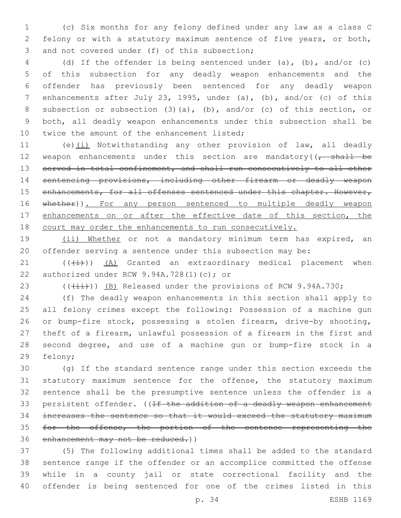(c) Six months for any felony defined under any law as a class C felony or with a statutory maximum sentence of five years, or both, 3 and not covered under (f) of this subsection;

 (d) If the offender is being sentenced under (a), (b), and/or (c) of this subsection for any deadly weapon enhancements and the offender has previously been sentenced for any deadly weapon enhancements after July 23, 1995, under (a), (b), and/or (c) of this subsection or subsection (3)(a), (b), and/or (c) of this section, or both, all deadly weapon enhancements under this subsection shall be 10 twice the amount of the enhancement listed;

 (e)(i) Notwithstanding any other provision of law, all deadly 12 weapon enhancements under this section are mandatory( $\sqrt{t}$  shall be 13 served in total confinement, and shall run consecutively to all other sentencing provisions, including other firearm or deadly weapon 15 enhancements, for all offenses sentenced under this chapter. However, 16 whether)). For any person sentenced to multiple deadly weapon 17 enhancements on or after the effective date of this section, the court may order the enhancements to run consecutively.

19 (ii) Whether or not a mandatory minimum term has expired, an offender serving a sentence under this subsection may be:

 ( $(\frac{1}{1})$ )  $(A)$  Granted an extraordinary medical placement when 22 authorized under RCW  $9.94A.728(1)(c)$ ; or

23  $((\overline{\{\pm i\}}))$  (B) Released under the provisions of RCW 9.94A.730;

 (f) The deadly weapon enhancements in this section shall apply to all felony crimes except the following: Possession of a machine gun or bump-fire stock, possessing a stolen firearm, drive-by shooting, theft of a firearm, unlawful possession of a firearm in the first and second degree, and use of a machine gun or bump-fire stock in a 29 felony;

 (g) If the standard sentence range under this section exceeds the statutory maximum sentence for the offense, the statutory maximum sentence shall be the presumptive sentence unless the offender is a 33 persistent offender. ((If the addition of a deadly weapon enhancement increases the sentence so that it would exceed the statutory maximum 35 for the offense, the portion of the sentence representing the 36 enhancement may not be reduced.))

 (5) The following additional times shall be added to the standard sentence range if the offender or an accomplice committed the offense while in a county jail or state correctional facility and the offender is being sentenced for one of the crimes listed in this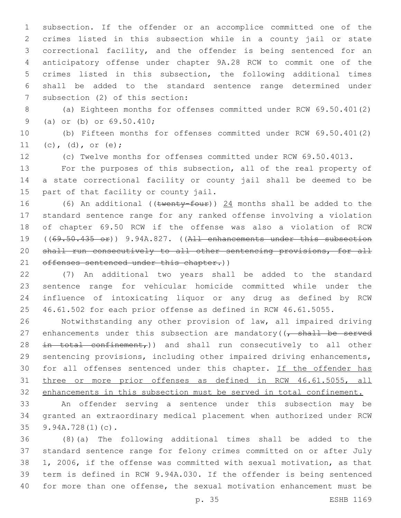subsection. If the offender or an accomplice committed one of the crimes listed in this subsection while in a county jail or state correctional facility, and the offender is being sentenced for an anticipatory offense under chapter 9A.28 RCW to commit one of the crimes listed in this subsection, the following additional times shall be added to the standard sentence range determined under 7 subsection (2) of this section:

 (a) Eighteen months for offenses committed under RCW 69.50.401(2) 9 (a) or (b) or 69.50.410;

 (b) Fifteen months for offenses committed under RCW 69.50.401(2) 11 (c), (d), or (e);

(c) Twelve months for offenses committed under RCW 69.50.4013.

 For the purposes of this subsection, all of the real property of a state correctional facility or county jail shall be deemed to be 15 part of that facility or county jail.

16 (6) An additional ((twenty-four)) 24 months shall be added to the standard sentence range for any ranked offense involving a violation of chapter 69.50 RCW if the offense was also a violation of RCW ((69.50.435 or)) 9.94A.827. ((All enhancements under this subsection shall run consecutively to all other sentencing provisions, for all 21 offenses sentenced under this chapter.))

 (7) An additional two years shall be added to the standard sentence range for vehicular homicide committed while under the influence of intoxicating liquor or any drug as defined by RCW 46.61.502 for each prior offense as defined in RCW 46.61.5055.

 Notwithstanding any other provision of law, all impaired driving 27 enhancements under this subsection are mandatory( $\sqrt{1 + 1}$  be served 28 in total confinement,)) and shall run consecutively to all other sentencing provisions, including other impaired driving enhancements, 30 for all offenses sentenced under this chapter. If the offender has three or more prior offenses as defined in RCW 46.61.5055, all enhancements in this subsection must be served in total confinement.

 An offender serving a sentence under this subsection may be granted an extraordinary medical placement when authorized under RCW 9.94A.728(1)(c).35

 (8)(a) The following additional times shall be added to the standard sentence range for felony crimes committed on or after July 1, 2006, if the offense was committed with sexual motivation, as that term is defined in RCW 9.94A.030. If the offender is being sentenced for more than one offense, the sexual motivation enhancement must be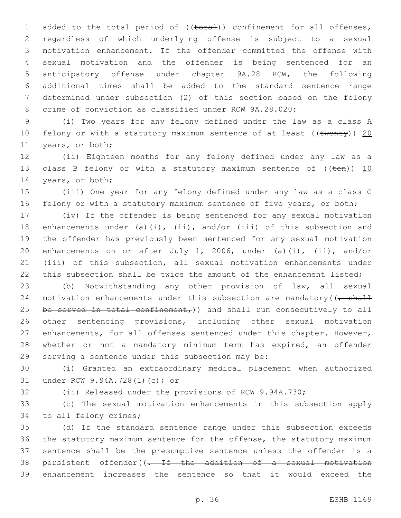1 added to the total period of ((total)) confinement for all offenses, regardless of which underlying offense is subject to a sexual motivation enhancement. If the offender committed the offense with sexual motivation and the offender is being sentenced for an anticipatory offense under chapter 9A.28 RCW, the following additional times shall be added to the standard sentence range determined under subsection (2) of this section based on the felony crime of conviction as classified under RCW 9A.28.020:

 (i) Two years for any felony defined under the law as a class A 10 felony or with a statutory maximum sentence of at least ((twenty)) 20 11 years, or both;

 (ii) Eighteen months for any felony defined under any law as a 13 class B felony or with a statutory maximum sentence of  $((\text{ten}))$  10 14 years, or both;

 (iii) One year for any felony defined under any law as a class C 16 felony or with a statutory maximum sentence of five years, or both;

 (iv) If the offender is being sentenced for any sexual motivation enhancements under (a)(i), (ii), and/or (iii) of this subsection and the offender has previously been sentenced for any sexual motivation enhancements on or after July 1, 2006, under (a)(i), (ii), and/or (iii) of this subsection, all sexual motivation enhancements under 22 this subsection shall be twice the amount of the enhancement listed;

 (b) Notwithstanding any other provision of law, all sexual 24 motivation enhancements under this subsection are mandatory( $\sqrt{\frac{1}{1}}$ 25 be served in total confinement,)) and shall run consecutively to all other sentencing provisions, including other sexual motivation enhancements, for all offenses sentenced under this chapter. However, 28 whether or not a mandatory minimum term has expired, an offender 29 serving a sentence under this subsection may be:

 (i) Granted an extraordinary medical placement when authorized 31 under RCW 9.94A.728(1)(c); or

(ii) Released under the provisions of RCW 9.94A.730;

 (c) The sexual motivation enhancements in this subsection apply 34 to all felony crimes;

 (d) If the standard sentence range under this subsection exceeds the statutory maximum sentence for the offense, the statutory maximum sentence shall be the presumptive sentence unless the offender is a persistent offender((. If the addition of a sexual motivation enhancement increases the sentence so that it would exceed the

p. 36 ESHB 1169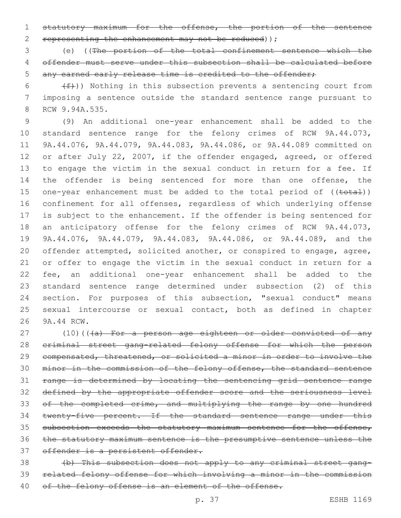statutory maximum for the offense, the portion of the sentence 2 representing the enhancement may not be reduced) );

 (e) ((The portion of the total confinement sentence which the offender must serve under this subsection shall be calculated before 5 any earned early release time is credited to the offender:

 (f)) Nothing in this subsection prevents a sentencing court from imposing a sentence outside the standard sentence range pursuant to 8 RCW 9.94A.535.

 (9) An additional one-year enhancement shall be added to the standard sentence range for the felony crimes of RCW 9A.44.073, 9A.44.076, 9A.44.079, 9A.44.083, 9A.44.086, or 9A.44.089 committed on or after July 22, 2007, if the offender engaged, agreed, or offered to engage the victim in the sexual conduct in return for a fee. If 14 the offender is being sentenced for more than one offense, the 15 one-year enhancement must be added to the total period of ((total)) confinement for all offenses, regardless of which underlying offense is subject to the enhancement. If the offender is being sentenced for 18 an anticipatory offense for the felony crimes of RCW 9A.44.073, 9A.44.076, 9A.44.079, 9A.44.083, 9A.44.086, or 9A.44.089, and the offender attempted, solicited another, or conspired to engage, agree, or offer to engage the victim in the sexual conduct in return for a fee, an additional one-year enhancement shall be added to the standard sentence range determined under subsection (2) of this section. For purposes of this subsection, "sexual conduct" means sexual intercourse or sexual contact, both as defined in chapter 26 9A.44 RCW.

27 (10)(((a) For a person age eighteen or older convicted of any criminal street gang-related felony offense for which the person compensated, threatened, or solicited a minor in order to involve the 30 minor in the commission of the felony offense, the standard sentence range is determined by locating the sentencing grid sentence range 32 defined by the appropriate offender score and the seriousness level 33 of the completed crime, and multiplying the range by one hundred 34 twenty-five percent. If the standard sentence range under this 35 subsection exceeds the statutory maximum sentence for the offense, the statutory maximum sentence is the presumptive sentence unless the 37 offender is a persistent offender.

 (b) This subsection does not apply to any criminal street gang- related felony offense for which involving a minor in the commission 40 of the felony offense is an element of the offense.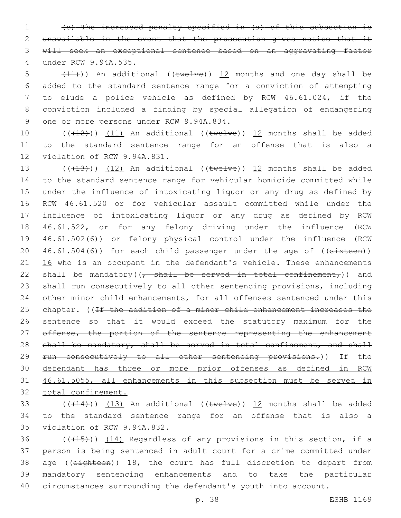(c) The increased penalty specified in (a) of this subsection is unavailable in the event that the prosecution gives notice that it will seek an exceptional sentence based on an aggravating factor under RCW 9.94A.535.

 $(11)$ ) An additional ((twelve)) 12 months and one day shall be added to the standard sentence range for a conviction of attempting to elude a police vehicle as defined by RCW 46.61.024, if the conviction included a finding by special allegation of endangering 9 one or more persons under RCW 9.94A.834.

10  $((+12))$   $(11)$  An additional  $((\text{twelve}))$  12 months shall be added 11 to the standard sentence range for an offense that is also a 12 violation of RCW 9.94A.831.

 $((+13))$   $(12)$  An additional ((twelve)) 12 months shall be added to the standard sentence range for vehicular homicide committed while under the influence of intoxicating liquor or any drug as defined by RCW 46.61.520 or for vehicular assault committed while under the influence of intoxicating liquor or any drug as defined by RCW 46.61.522, or for any felony driving under the influence (RCW 46.61.502(6)) or felony physical control under the influence (RCW  $46.61.504(6)$  for each child passenger under the age of ( $(\text{s+xteen})$ )  $\frac{16}{16}$  who is an occupant in the defendant's vehicle. These enhancements 22 shall be mandatory( $\left($ , shall be served in total confinement,)) and shall run consecutively to all other sentencing provisions, including other minor child enhancements, for all offenses sentenced under this 25 chapter. ((If the addition of a minor child enhancement increases the sentence so that it would exceed the statutory maximum for the 27 offense, the portion of the sentence representing the enhancement 28 shall be mandatory, shall be served in total confinement, and shall 29 run consecutively to all other sentencing provisions.)) If the defendant has three or more prior offenses as defined in RCW 46.61.5055, all enhancements in this subsection must be served in total confinement.

33 ( $(414)$ ))  $(13)$  An additional (( $\text{twelve}$ )) 12 months shall be added 34 to the standard sentence range for an offense that is also a 35 violation of RCW 9.94A.832.

 $((+15))$   $(14)$  Regardless of any provisions in this section, if a person is being sentenced in adult court for a crime committed under 38 age (( $e$ ighteen))  $18$ , the court has full discretion to depart from mandatory sentencing enhancements and to take the particular circumstances surrounding the defendant's youth into account.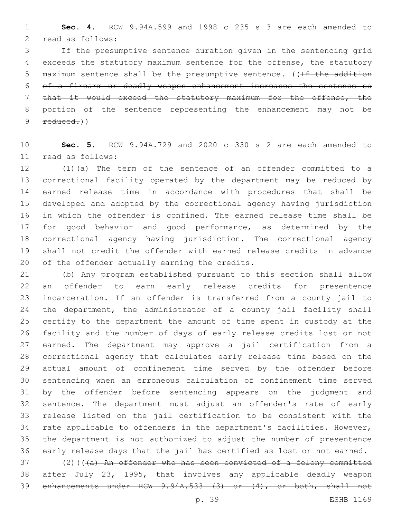**Sec. 4.** RCW 9.94A.599 and 1998 c 235 s 3 are each amended to 2 read as follows:

 If the presumptive sentence duration given in the sentencing grid exceeds the statutory maximum sentence for the offense, the statutory 5 maximum sentence shall be the presumptive sentence. ((If the addition of a firearm or deadly weapon enhancement increases the sentence so that it would exceed the statutory maximum for the offense, the portion of the sentence representing the enhancement may not be  $9 \text{ reduced.}$ )

 **Sec. 5.** RCW 9.94A.729 and 2020 c 330 s 2 are each amended to read as follows:11

 (1)(a) The term of the sentence of an offender committed to a correctional facility operated by the department may be reduced by earned release time in accordance with procedures that shall be developed and adopted by the correctional agency having jurisdiction in which the offender is confined. The earned release time shall be 17 for good behavior and good performance, as determined by the correctional agency having jurisdiction. The correctional agency shall not credit the offender with earned release credits in advance 20 of the offender actually earning the credits.

 (b) Any program established pursuant to this section shall allow an offender to earn early release credits for presentence incarceration. If an offender is transferred from a county jail to the department, the administrator of a county jail facility shall certify to the department the amount of time spent in custody at the facility and the number of days of early release credits lost or not earned. The department may approve a jail certification from a correctional agency that calculates early release time based on the actual amount of confinement time served by the offender before sentencing when an erroneous calculation of confinement time served by the offender before sentencing appears on the judgment and sentence. The department must adjust an offender's rate of early release listed on the jail certification to be consistent with the rate applicable to offenders in the department's facilities. However, the department is not authorized to adjust the number of presentence early release days that the jail has certified as lost or not earned.

37 (2)(((a) An offender who has been convicted of a felony committed after July 23, 1995, that involves any applicable deadly weapon enhancements under RCW 9.94A.533 (3) or (4), or both, shall not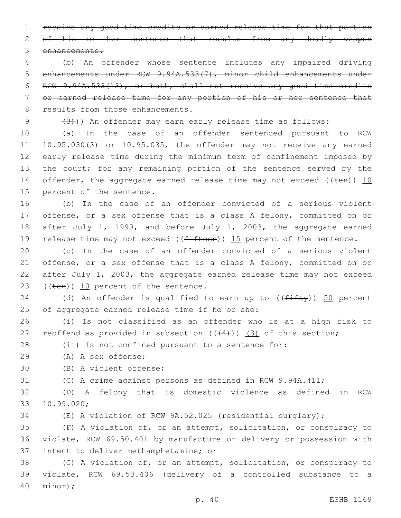1 receive any good time credits or earned release time for that portion 2 of his or her sentence that results from any deadly weapon 3 enhancements.

 (b) An offender whose sentence includes any impaired driving enhancements under RCW 9.94A.533(7), minor child enhancements under RCW 9.94A.533(13), or both, shall not receive any good time credits or earned release time for any portion of his or her sentence that 8 results from those enhancements.

 $(3)$  (3)) An offender may earn early release time as follows:

10 (a) In the case of an offender sentenced pursuant to RCW 11 10.95.030(3) or 10.95.035, the offender may not receive any earned 12 early release time during the minimum term of confinement imposed by 13 the court; for any remaining portion of the sentence served by the 14 offender, the aggregate earned release time may not exceed (( $t$ en)) 10 15 percent of the sentence.

16 (b) In the case of an offender convicted of a serious violent 17 offense, or a sex offense that is a class A felony, committed on or 18 after July 1, 1990, and before July 1, 2003, the aggregate earned 19 release time may not exceed ( $(fifteen)$ ) 15 percent of the sentence.

 (c) In the case of an offender convicted of a serious violent offense, or a sex offense that is a class A felony, committed on or after July 1, 2003, the aggregate earned release time may not exceed  $((\text{ten})\, 10 \text{ percent of the sentence.}$ 

24 (d) An offender is qualified to earn up to  $((f \text{iff } y))$  50 percent 25 of aggregate earned release time if he or she:

26 (i) Is not classified as an offender who is at a high risk to 27 reoffend as provided in subsection  $((4+))$  (3) of this section;

28 (ii) Is not confined pursuant to a sentence for:

(A) A sex offense;29

30 (B) A violent offense;

31 (C) A crime against persons as defined in RCW 9.94A.411;

32 (D) A felony that is domestic violence as defined in RCW 10.99.020;33

34 (E) A violation of RCW 9A.52.025 (residential burglary);

35 (F) A violation of, or an attempt, solicitation, or conspiracy to 36 violate, RCW 69.50.401 by manufacture or delivery or possession with 37 intent to deliver methamphetamine; or

38 (G) A violation of, or an attempt, solicitation, or conspiracy to 39 violate, RCW 69.50.406 (delivery of a controlled substance to a minor);40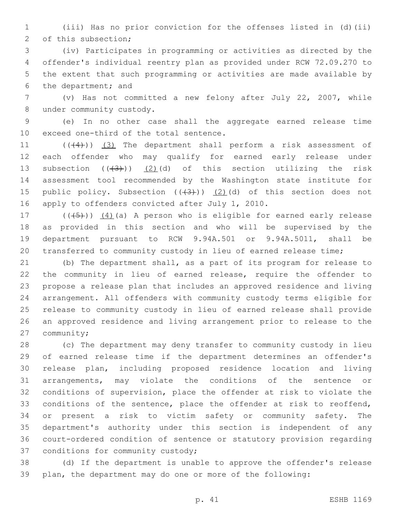(iii) Has no prior conviction for the offenses listed in (d)(ii) 2 of this subsection;

 (iv) Participates in programming or activities as directed by the offender's individual reentry plan as provided under RCW 72.09.270 to the extent that such programming or activities are made available by 6 the department; and

 (v) Has not committed a new felony after July 22, 2007, while 8 under community custody.

 (e) In no other case shall the aggregate earned release time 10 exceed one-third of the total sentence.

11 (((4))) (3) The department shall perform a risk assessment of each offender who may qualify for earned early release under 13 subsection  $((+3))$   $(2)(d)$  of this section utilizing the risk assessment tool recommended by the Washington state institute for 15 public policy. Subsection  $((+3))$   $(2)$  (d) of this section does not 16 apply to offenders convicted after July 1, 2010.

 $((+5+))$   $(4)$  (a) A person who is eligible for earned early release as provided in this section and who will be supervised by the department pursuant to RCW 9.94A.501 or 9.94A.5011, shall be transferred to community custody in lieu of earned release time;

 (b) The department shall, as a part of its program for release to the community in lieu of earned release, require the offender to propose a release plan that includes an approved residence and living arrangement. All offenders with community custody terms eligible for release to community custody in lieu of earned release shall provide an approved residence and living arrangement prior to release to the 27 community;

 (c) The department may deny transfer to community custody in lieu of earned release time if the department determines an offender's release plan, including proposed residence location and living arrangements, may violate the conditions of the sentence or conditions of supervision, place the offender at risk to violate the 33 conditions of the sentence, place the offender at risk to reoffend, or present a risk to victim safety or community safety. The department's authority under this section is independent of any court-ordered condition of sentence or statutory provision regarding 37 conditions for community custody;

 (d) If the department is unable to approve the offender's release plan, the department may do one or more of the following: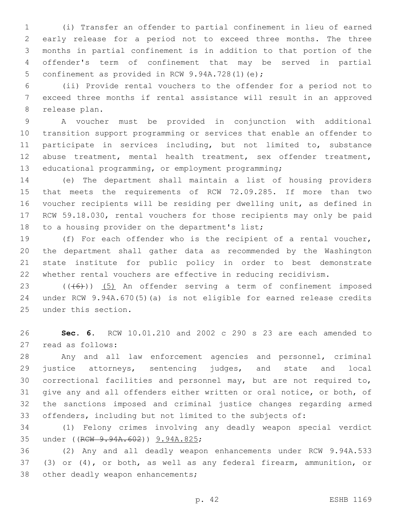(i) Transfer an offender to partial confinement in lieu of earned early release for a period not to exceed three months. The three months in partial confinement is in addition to that portion of the offender's term of confinement that may be served in partial 5 confinement as provided in RCW 9.94A.728(1)(e);

 (ii) Provide rental vouchers to the offender for a period not to exceed three months if rental assistance will result in an approved 8 release plan.

 A voucher must be provided in conjunction with additional transition support programming or services that enable an offender to 11 participate in services including, but not limited to, substance abuse treatment, mental health treatment, sex offender treatment, educational programming, or employment programming;

 (e) The department shall maintain a list of housing providers that meets the requirements of RCW 72.09.285. If more than two voucher recipients will be residing per dwelling unit, as defined in RCW 59.18.030, rental vouchers for those recipients may only be paid 18 to a housing provider on the department's list;

 (f) For each offender who is the recipient of a rental voucher, the department shall gather data as recommended by the Washington state institute for public policy in order to best demonstrate whether rental vouchers are effective in reducing recidivism.

23 (((6)) (5) An offender serving a term of confinement imposed under RCW 9.94A.670(5)(a) is not eligible for earned release credits 25 under this section.

 **Sec. 6.** RCW 10.01.210 and 2002 c 290 s 23 are each amended to 27 read as follows:

 Any and all law enforcement agencies and personnel, criminal 29 justice attorneys, sentencing judges, and state and local correctional facilities and personnel may, but are not required to, give any and all offenders either written or oral notice, or both, of the sanctions imposed and criminal justice changes regarding armed offenders, including but not limited to the subjects of:

 (1) Felony crimes involving any deadly weapon special verdict 35 under ((RCW 9.94A.602)) 9.94A.825;

 (2) Any and all deadly weapon enhancements under RCW 9.94A.533 (3) or (4), or both, as well as any federal firearm, ammunition, or 38 other deadly weapon enhancements;

p. 42 ESHB 1169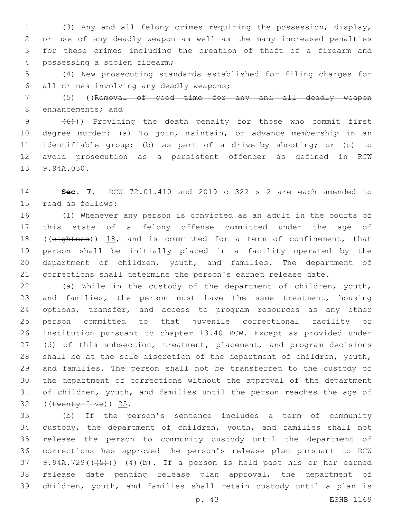(3) Any and all felony crimes requiring the possession, display, or use of any deadly weapon as well as the many increased penalties for these crimes including the creation of theft of a firearm and 4 possessing a stolen firearm;

 (4) New prosecuting standards established for filing charges for 6 all crimes involving any deadly weapons;

 (5) ((Removal of good time for any and all deadly weapon 8 enhancements; and

9 (6)) Providing the death penalty for those who commit first degree murder: (a) To join, maintain, or advance membership in an identifiable group; (b) as part of a drive-by shooting; or (c) to avoid prosecution as a persistent offender as defined in RCW 13 9.94A.030.

 **Sec. 7.** RCW 72.01.410 and 2019 c 322 s 2 are each amended to 15 read as follows:

 (1) Whenever any person is convicted as an adult in the courts of this state of a felony offense committed under the age of 18 ((eighteen)) 18, and is committed for a term of confinement, that person shall be initially placed in a facility operated by the department of children, youth, and families. The department of corrections shall determine the person's earned release date.

 (a) While in the custody of the department of children, youth, and families, the person must have the same treatment, housing 24 options, transfer, and access to program resources as any other person committed to that juvenile correctional facility or institution pursuant to chapter 13.40 RCW. Except as provided under 27 (d) of this subsection, treatment, placement, and program decisions shall be at the sole discretion of the department of children, youth, and families. The person shall not be transferred to the custody of the department of corrections without the approval of the department of children, youth, and families until the person reaches the age of ((twenty-five)) 25.

 (b) If the person's sentence includes a term of community custody, the department of children, youth, and families shall not release the person to community custody until the department of corrections has approved the person's release plan pursuant to RCW 37 9.94A.729( $(\frac{4}{5})$ )  $(4)$ (b). If a person is held past his or her earned release date pending release plan approval, the department of children, youth, and families shall retain custody until a plan is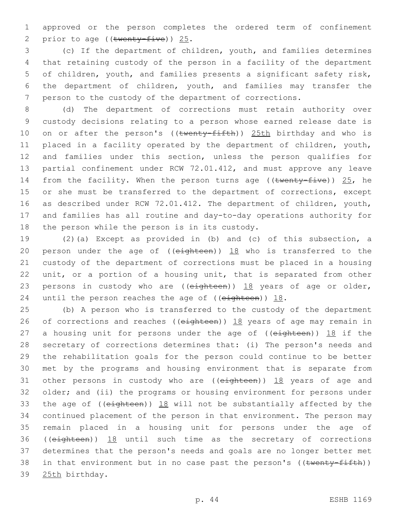1 approved or the person completes the ordered term of confinement 2 prior to age (( $t$ wenty-five)) 25.

 (c) If the department of children, youth, and families determines that retaining custody of the person in a facility of the department of children, youth, and families presents a significant safety risk, the department of children, youth, and families may transfer the person to the custody of the department of corrections.

 (d) The department of corrections must retain authority over custody decisions relating to a person whose earned release date is 10 on or after the person's ((twenty-fifth)) 25th birthday and who is placed in a facility operated by the department of children, youth, and families under this section, unless the person qualifies for partial confinement under RCW 72.01.412, and must approve any leave 14 from the facility. When the person turns age (( $t$ wenty-five))  $25$ , he 15 or she must be transferred to the department of corrections, except as described under RCW 72.01.412. The department of children, youth, and families has all routine and day-to-day operations authority for 18 the person while the person is in its custody.

19 (2)(a) Except as provided in (b) and (c) of this subsection, a 20 person under the age of ( $(e^{i\theta t} + e^{i\theta t})$ )  $18$  who is transferred to the 21 custody of the department of corrections must be placed in a housing 22 unit, or a portion of a housing unit, that is separated from other 23 persons in custody who are ((eighteen)) 18 years of age or older, 24 until the person reaches the age of (( $e$ ighteen))  $18$ .

25 (b) A person who is transferred to the custody of the department 26 of corrections and reaches (( $e$ ighteen))  $18$  years of age may remain in 27 a housing unit for persons under the age of  $((e<sub>ighteen</sub>))$  18 if the 28 secretary of corrections determines that: (i) The person's needs and 29 the rehabilitation goals for the person could continue to be better 30 met by the programs and housing environment that is separate from 31 other persons in custody who are ((eighteen)) 18 years of age and 32 older; and (ii) the programs or housing environment for persons under 33 the age of ((eighteen)) 18 will not be substantially affected by the 34 continued placement of the person in that environment. The person may 35 remain placed in a housing unit for persons under the age of 36 ((eighteen)) 18 until such time as the secretary of corrections 37 determines that the person's needs and goals are no longer better met 38 in that environment but in no case past the person's ((twenty-fifth)) 39 25th birthday.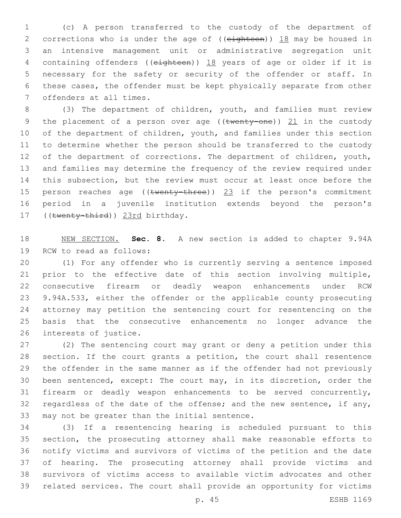(c) A person transferred to the custody of the department of 2 corrections who is under the age of ((eighteen)) 18 may be housed in an intensive management unit or administrative segregation unit containing offenders ((eighteen)) 18 years of age or older if it is necessary for the safety or security of the offender or staff. In these cases, the offender must be kept physically separate from other 7 offenders at all times.

 (3) The department of children, youth, and families must review 9 the placement of a person over age ((twenty-one)) 21 in the custody 10 of the department of children, youth, and families under this section to determine whether the person should be transferred to the custody 12 of the department of corrections. The department of children, youth, and families may determine the frequency of the review required under this subsection, but the review must occur at least once before the 15 person reaches age ((twenty-three)) 23 if the person's commitment period in a juvenile institution extends beyond the person's 17 ((twenty-third)) 23rd birthday.

 NEW SECTION. **Sec. 8.** A new section is added to chapter 9.94A 19 RCW to read as follows:

 (1) For any offender who is currently serving a sentence imposed prior to the effective date of this section involving multiple, consecutive firearm or deadly weapon enhancements under RCW 9.94A.533, either the offender or the applicable county prosecuting attorney may petition the sentencing court for resentencing on the basis that the consecutive enhancements no longer advance the 26 interests of justice.

 (2) The sentencing court may grant or deny a petition under this section. If the court grants a petition, the court shall resentence the offender in the same manner as if the offender had not previously been sentenced, except: The court may, in its discretion, order the firearm or deadly weapon enhancements to be served concurrently, 32 regardless of the date of the offense; and the new sentence, if any, 33 may not be greater than the initial sentence.

 (3) If a resentencing hearing is scheduled pursuant to this section, the prosecuting attorney shall make reasonable efforts to notify victims and survivors of victims of the petition and the date of hearing. The prosecuting attorney shall provide victims and survivors of victims access to available victim advocates and other related services. The court shall provide an opportunity for victims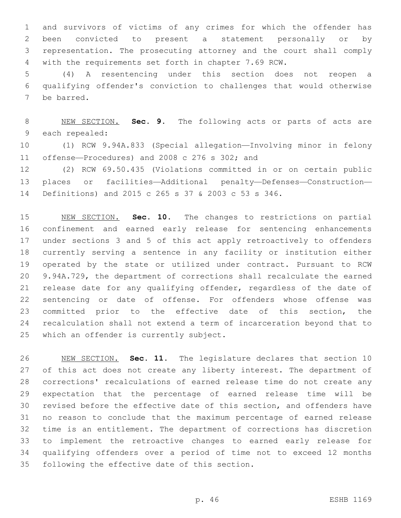and survivors of victims of any crimes for which the offender has been convicted to present a statement personally or by representation. The prosecuting attorney and the court shall comply with the requirements set forth in chapter 7.69 RCW.

 (4) A resentencing under this section does not reopen a qualifying offender's conviction to challenges that would otherwise 7 be barred.

 NEW SECTION. **Sec. 9.** The following acts or parts of acts are each repealed:

 (1) RCW 9.94A.833 (Special allegation—Involving minor in felony 11 offense—Procedures) and 2008 c 276 s 302; and

 (2) RCW 69.50.435 (Violations committed in or on certain public places or facilities—Additional penalty—Defenses—Construction— Definitions) and 2015 c 265 s 37 & 2003 c 53 s 346.

 NEW SECTION. **Sec. 10.** The changes to restrictions on partial confinement and earned early release for sentencing enhancements under sections 3 and 5 of this act apply retroactively to offenders currently serving a sentence in any facility or institution either operated by the state or utilized under contract. Pursuant to RCW 9.94A.729, the department of corrections shall recalculate the earned release date for any qualifying offender, regardless of the date of sentencing or date of offense. For offenders whose offense was committed prior to the effective date of this section, the recalculation shall not extend a term of incarceration beyond that to which an offender is currently subject.

 NEW SECTION. **Sec. 11.** The legislature declares that section 10 27 of this act does not create any liberty interest. The department of corrections' recalculations of earned release time do not create any expectation that the percentage of earned release time will be revised before the effective date of this section, and offenders have no reason to conclude that the maximum percentage of earned release time is an entitlement. The department of corrections has discretion to implement the retroactive changes to earned early release for qualifying offenders over a period of time not to exceed 12 months following the effective date of this section.